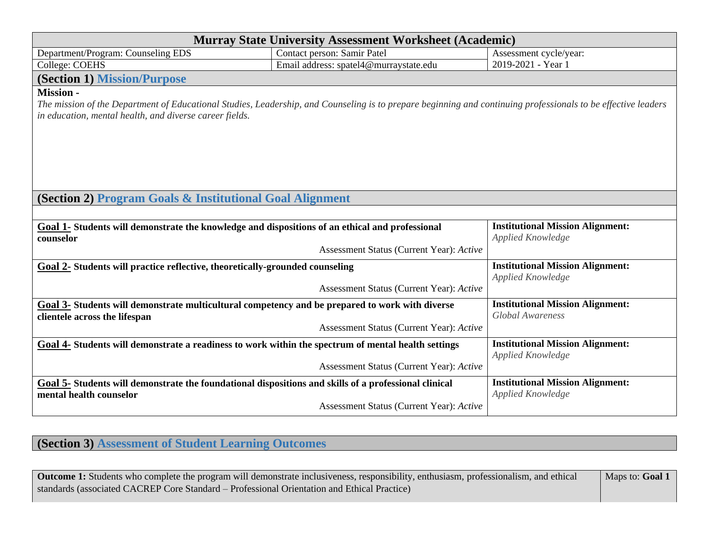| <b>Murray State University Assessment Worksheet (Academic)</b>                                                                                                |                                          |                                         |  |  |
|---------------------------------------------------------------------------------------------------------------------------------------------------------------|------------------------------------------|-----------------------------------------|--|--|
| Department/Program: Counseling EDS                                                                                                                            | Contact person: Samir Patel              | Assessment cycle/year:                  |  |  |
| College: COEHS                                                                                                                                                | Email address: spatel4@murraystate.edu   | 2019-2021 - Year 1                      |  |  |
| <b>(Section 1) Mission/Purpose</b>                                                                                                                            |                                          |                                         |  |  |
| <b>Mission -</b>                                                                                                                                              |                                          |                                         |  |  |
| The mission of the Department of Educational Studies, Leadership, and Counseling is to prepare beginning and continuing professionals to be effective leaders |                                          |                                         |  |  |
| in education, mental health, and diverse career fields.                                                                                                       |                                          |                                         |  |  |
|                                                                                                                                                               |                                          |                                         |  |  |
|                                                                                                                                                               |                                          |                                         |  |  |
|                                                                                                                                                               |                                          |                                         |  |  |
|                                                                                                                                                               |                                          |                                         |  |  |
|                                                                                                                                                               |                                          |                                         |  |  |
| (Section 2) Program Goals & Institutional Goal Alignment                                                                                                      |                                          |                                         |  |  |
|                                                                                                                                                               |                                          |                                         |  |  |
| Goal 1- Students will demonstrate the knowledge and dispositions of an ethical and professional                                                               |                                          | <b>Institutional Mission Alignment:</b> |  |  |
| counselor                                                                                                                                                     |                                          | Applied Knowledge                       |  |  |
|                                                                                                                                                               | Assessment Status (Current Year): Active |                                         |  |  |
| Goal 2- Students will practice reflective, theoretically-grounded counseling                                                                                  | <b>Institutional Mission Alignment:</b>  |                                         |  |  |
|                                                                                                                                                               |                                          | Applied Knowledge                       |  |  |
|                                                                                                                                                               | Assessment Status (Current Year): Active |                                         |  |  |
| Goal 3- Students will demonstrate multicultural competency and be prepared to work with diverse                                                               |                                          | <b>Institutional Mission Alignment:</b> |  |  |
| clientele across the lifespan                                                                                                                                 |                                          | <b>Global Awareness</b>                 |  |  |
|                                                                                                                                                               | Assessment Status (Current Year): Active |                                         |  |  |
| Goal 4- Students will demonstrate a readiness to work within the spectrum of mental health settings                                                           | <b>Institutional Mission Alignment:</b>  |                                         |  |  |
|                                                                                                                                                               | Applied Knowledge                        |                                         |  |  |
|                                                                                                                                                               | Assessment Status (Current Year): Active |                                         |  |  |
| Goal 5- Students will demonstrate the foundational dispositions and skills of a professional clinical                                                         |                                          | <b>Institutional Mission Alignment:</b> |  |  |
| mental health counselor                                                                                                                                       | Assessment Status (Current Year): Active | Applied Knowledge                       |  |  |
|                                                                                                                                                               |                                          |                                         |  |  |

**(Section 3) Assessment of Student Learning Outcomes**

| Outcome 1: Students who complete the program will demonstrate inclusiveness, responsibility, enthusiasm, professionalism, and ethical | Maps to: <b>Goal 1</b> |
|---------------------------------------------------------------------------------------------------------------------------------------|------------------------|
| standards (associated CACREP Core Standard – Professional Orientation and Ethical Practice)                                           |                        |
|                                                                                                                                       |                        |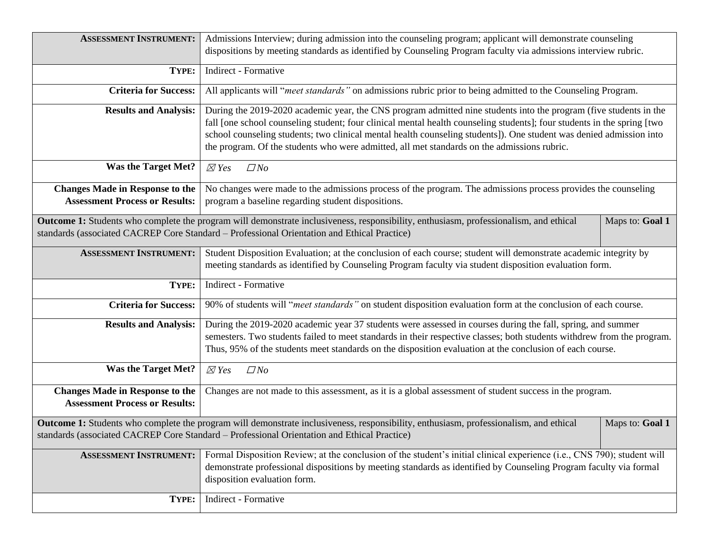| <b>ASSESSMENT INSTRUMENT:</b>                                                   | Admissions Interview; during admission into the counseling program; applicant will demonstrate counseling<br>dispositions by meeting standards as identified by Counseling Program faculty via admissions interview rubric.                                                                                                                                                                                                                                        |                 |  |  |
|---------------------------------------------------------------------------------|--------------------------------------------------------------------------------------------------------------------------------------------------------------------------------------------------------------------------------------------------------------------------------------------------------------------------------------------------------------------------------------------------------------------------------------------------------------------|-----------------|--|--|
| TYPE:                                                                           | Indirect - Formative                                                                                                                                                                                                                                                                                                                                                                                                                                               |                 |  |  |
| <b>Criteria for Success:</b>                                                    | All applicants will "meet standards" on admissions rubric prior to being admitted to the Counseling Program.                                                                                                                                                                                                                                                                                                                                                       |                 |  |  |
| <b>Results and Analysis:</b>                                                    | During the 2019-2020 academic year, the CNS program admitted nine students into the program (five students in the<br>fall [one school counseling student; four clinical mental health counseling students]; four students in the spring [two<br>school counseling students; two clinical mental health counseling students]). One student was denied admission into<br>the program. Of the students who were admitted, all met standards on the admissions rubric. |                 |  |  |
| <b>Was the Target Met?</b>                                                      | $\boxtimes$ Yes<br>$\Box$ No                                                                                                                                                                                                                                                                                                                                                                                                                                       |                 |  |  |
| <b>Changes Made in Response to the</b><br><b>Assessment Process or Results:</b> | No changes were made to the admissions process of the program. The admissions process provides the counseling<br>program a baseline regarding student dispositions.                                                                                                                                                                                                                                                                                                |                 |  |  |
|                                                                                 | Outcome 1: Students who complete the program will demonstrate inclusiveness, responsibility, enthusiasm, professionalism, and ethical<br>standards (associated CACREP Core Standard - Professional Orientation and Ethical Practice)                                                                                                                                                                                                                               | Maps to: Goal 1 |  |  |
| <b>ASSESSMENT INSTRUMENT:</b>                                                   | Student Disposition Evaluation; at the conclusion of each course; student will demonstrate academic integrity by<br>meeting standards as identified by Counseling Program faculty via student disposition evaluation form.                                                                                                                                                                                                                                         |                 |  |  |
| TYPE:                                                                           | Indirect - Formative                                                                                                                                                                                                                                                                                                                                                                                                                                               |                 |  |  |
| <b>Criteria for Success:</b>                                                    | 90% of students will "meet standards" on student disposition evaluation form at the conclusion of each course.                                                                                                                                                                                                                                                                                                                                                     |                 |  |  |
| <b>Results and Analysis:</b>                                                    | During the 2019-2020 academic year 37 students were assessed in courses during the fall, spring, and summer<br>semesters. Two students failed to meet standards in their respective classes; both students withdrew from the program.<br>Thus, 95% of the students meet standards on the disposition evaluation at the conclusion of each course.                                                                                                                  |                 |  |  |
| <b>Was the Target Met?</b>                                                      | $\boxtimes$ Yes<br>$\Box$ No                                                                                                                                                                                                                                                                                                                                                                                                                                       |                 |  |  |
| <b>Changes Made in Response to the</b><br><b>Assessment Process or Results:</b> | Changes are not made to this assessment, as it is a global assessment of student success in the program.                                                                                                                                                                                                                                                                                                                                                           |                 |  |  |
|                                                                                 | Outcome 1: Students who complete the program will demonstrate inclusiveness, responsibility, enthusiasm, professionalism, and ethical<br>standards (associated CACREP Core Standard – Professional Orientation and Ethical Practice)                                                                                                                                                                                                                               | Maps to: Goal 1 |  |  |
| <b>ASSESSMENT INSTRUMENT:</b>                                                   | Formal Disposition Review; at the conclusion of the student's initial clinical experience (i.e., CNS 790); student will<br>demonstrate professional dispositions by meeting standards as identified by Counseling Program faculty via formal<br>disposition evaluation form.                                                                                                                                                                                       |                 |  |  |
| TYPE:                                                                           | Indirect - Formative                                                                                                                                                                                                                                                                                                                                                                                                                                               |                 |  |  |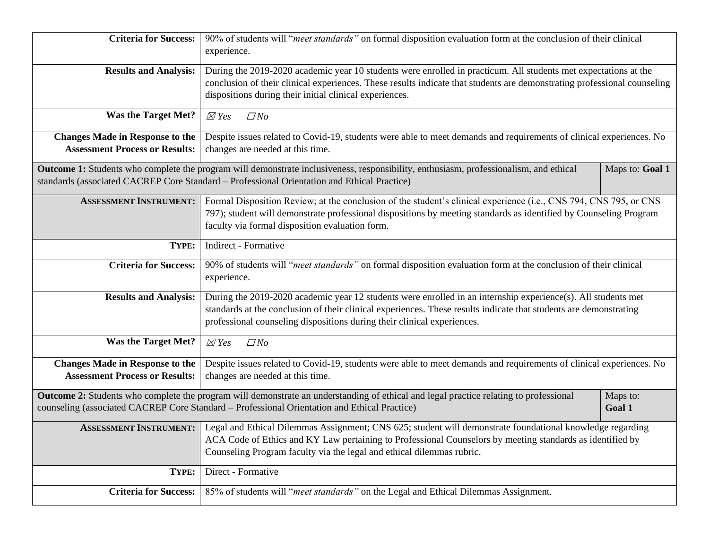| <b>Criteria for Success:</b>                                                    | 90% of students will "meet standards" on formal disposition evaluation form at the conclusion of their clinical<br>experience.                                                                                                                                                                                                |                 |  |  |
|---------------------------------------------------------------------------------|-------------------------------------------------------------------------------------------------------------------------------------------------------------------------------------------------------------------------------------------------------------------------------------------------------------------------------|-----------------|--|--|
| <b>Results and Analysis:</b>                                                    | During the 2019-2020 academic year 10 students were enrolled in practicum. All students met expectations at the<br>conclusion of their clinical experiences. These results indicate that students are demonstrating professional counseling<br>dispositions during their initial clinical experiences.                        |                 |  |  |
| <b>Was the Target Met?</b>                                                      | $\Box$ No<br>$\boxtimes$ Yes                                                                                                                                                                                                                                                                                                  |                 |  |  |
| <b>Changes Made in Response to the</b><br><b>Assessment Process or Results:</b> | Despite issues related to Covid-19, students were able to meet demands and requirements of clinical experiences. No<br>changes are needed at this time.                                                                                                                                                                       |                 |  |  |
|                                                                                 | Outcome 1: Students who complete the program will demonstrate inclusiveness, responsibility, enthusiasm, professionalism, and ethical<br>standards (associated CACREP Core Standard - Professional Orientation and Ethical Practice)                                                                                          | Maps to: Goal 1 |  |  |
| <b>ASSESSMENT INSTRUMENT:</b>                                                   | Formal Disposition Review; at the conclusion of the student's clinical experience (i.e., CNS 794, CNS 795, or CNS<br>797); student will demonstrate professional dispositions by meeting standards as identified by Counseling Program<br>faculty via formal disposition evaluation form.                                     |                 |  |  |
| TYPE:                                                                           | <b>Indirect - Formative</b>                                                                                                                                                                                                                                                                                                   |                 |  |  |
| <b>Criteria for Success:</b>                                                    | 90% of students will "meet standards" on formal disposition evaluation form at the conclusion of their clinical<br>experience.                                                                                                                                                                                                |                 |  |  |
| <b>Results and Analysis:</b>                                                    | During the 2019-2020 academic year 12 students were enrolled in an internship experience(s). All students met<br>standards at the conclusion of their clinical experiences. These results indicate that students are demonstrating<br>professional counseling dispositions during their clinical experiences.                 |                 |  |  |
| <b>Was the Target Met?</b>                                                      | $\boxtimes$ Yes<br>$\Box$ No                                                                                                                                                                                                                                                                                                  |                 |  |  |
| <b>Changes Made in Response to the</b><br><b>Assessment Process or Results:</b> | Despite issues related to Covid-19, students were able to meet demands and requirements of clinical experiences. No<br>changes are needed at this time.                                                                                                                                                                       |                 |  |  |
|                                                                                 | Outcome 2: Students who complete the program will demonstrate an understanding of ethical and legal practice relating to professional<br>Maps to:<br>counseling (associated CACREP Core Standard - Professional Orientation and Ethical Practice)<br>Goal 1                                                                   |                 |  |  |
|                                                                                 | <b>ASSESSMENT INSTRUMENT:</b> Legal and Ethical Dilemmas Assignment; CNS 625; student will demonstrate foundational knowledge regarding<br>ACA Code of Ethics and KY Law pertaining to Professional Counselors by meeting standards as identified by<br>Counseling Program faculty via the legal and ethical dilemmas rubric. |                 |  |  |
| TYPE:                                                                           | Direct - Formative                                                                                                                                                                                                                                                                                                            |                 |  |  |
| <b>Criteria for Success:</b>                                                    | 85% of students will "meet standards" on the Legal and Ethical Dilemmas Assignment.                                                                                                                                                                                                                                           |                 |  |  |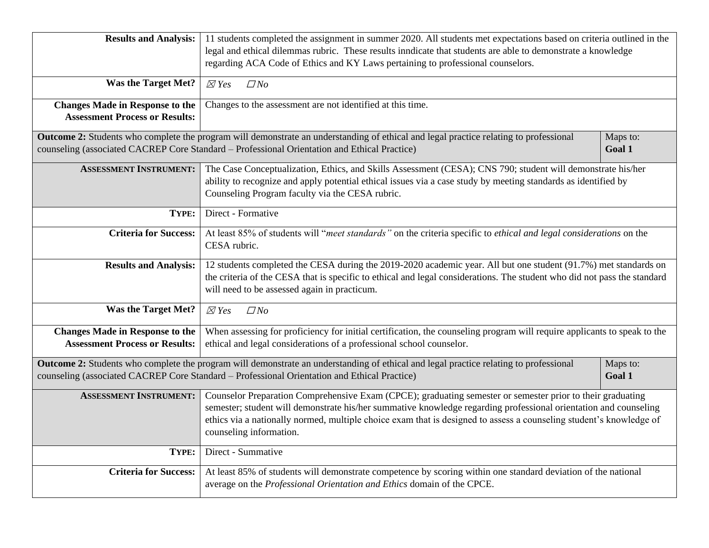| <b>Results and Analysis:</b>           | 11 students completed the assignment in summer 2020. All students met expectations based on criteria outlined in the                  |          |  |
|----------------------------------------|---------------------------------------------------------------------------------------------------------------------------------------|----------|--|
|                                        | legal and ethical dilemmas rubric. These results inndicate that students are able to demonstrate a knowledge                          |          |  |
|                                        | regarding ACA Code of Ethics and KY Laws pertaining to professional counselors.                                                       |          |  |
|                                        |                                                                                                                                       |          |  |
| <b>Was the Target Met?</b>             | $\boxtimes$ Yes<br>$\Box$ No                                                                                                          |          |  |
| <b>Changes Made in Response to the</b> | Changes to the assessment are not identified at this time.                                                                            |          |  |
| <b>Assessment Process or Results:</b>  |                                                                                                                                       |          |  |
|                                        | Outcome 2: Students who complete the program will demonstrate an understanding of ethical and legal practice relating to professional | Maps to: |  |
|                                        | counseling (associated CACREP Core Standard - Professional Orientation and Ethical Practice)                                          | Goal 1   |  |
| <b>ASSESSMENT INSTRUMENT:</b>          | The Case Conceptualization, Ethics, and Skills Assessment (CESA); CNS 790; student will demonstrate his/her                           |          |  |
|                                        | ability to recognize and apply potential ethical issues via a case study by meeting standards as identified by                        |          |  |
|                                        | Counseling Program faculty via the CESA rubric.                                                                                       |          |  |
| TYPE:                                  | Direct - Formative                                                                                                                    |          |  |
|                                        |                                                                                                                                       |          |  |
| <b>Criteria for Success:</b>           | At least 85% of students will "meet standards" on the criteria specific to ethical and legal considerations on the<br>CESA rubric.    |          |  |
|                                        |                                                                                                                                       |          |  |
| <b>Results and Analysis:</b>           | 12 students completed the CESA during the 2019-2020 academic year. All but one student (91.7%) met standards on                       |          |  |
|                                        | the criteria of the CESA that is specific to ethical and legal considerations. The student who did not pass the standard              |          |  |
|                                        | will need to be assessed again in practicum.                                                                                          |          |  |
| <b>Was the Target Met?</b>             | $\boxtimes$ Yes<br>$\Box$ No                                                                                                          |          |  |
|                                        |                                                                                                                                       |          |  |
| <b>Changes Made in Response to the</b> | When assessing for proficiency for initial certification, the counseling program will require applicants to speak to the              |          |  |
| <b>Assessment Process or Results:</b>  | ethical and legal considerations of a professional school counselor.                                                                  |          |  |
|                                        | Outcome 2: Students who complete the program will demonstrate an understanding of ethical and legal practice relating to professional | Maps to: |  |
|                                        | counseling (associated CACREP Core Standard – Professional Orientation and Ethical Practice)                                          | Goal 1   |  |
| <b>ASSESSMENT INSTRUMENT:</b>          | Counselor Preparation Comprehensive Exam (CPCE); graduating semester or semester prior to their graduating                            |          |  |
|                                        | semester; student will demonstrate his/her summative knowledge regarding professional orientation and counseling                      |          |  |
|                                        | ethics via a nationally normed, multiple choice exam that is designed to assess a counseling student's knowledge of                   |          |  |
|                                        | counseling information.                                                                                                               |          |  |
| TYPE:                                  | Direct - Summative                                                                                                                    |          |  |
| <b>Criteria for Success:</b>           | At least 85% of students will demonstrate competence by scoring within one standard deviation of the national                         |          |  |
|                                        | average on the Professional Orientation and Ethics domain of the CPCE.                                                                |          |  |
|                                        |                                                                                                                                       |          |  |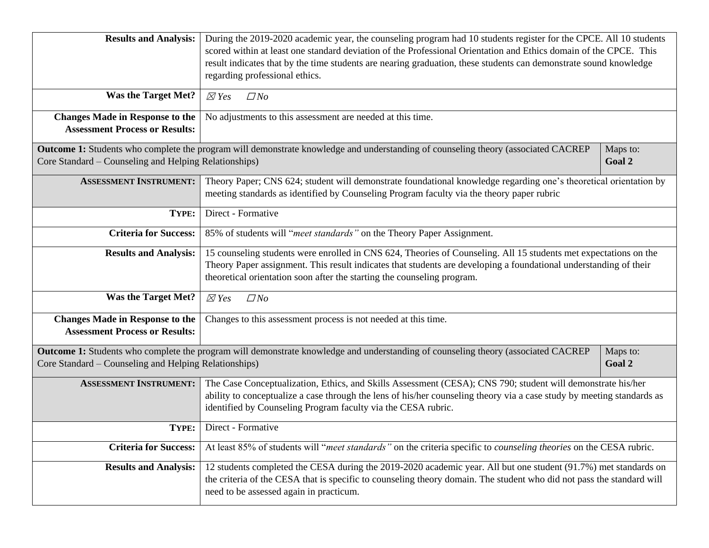| <b>Results and Analysis:</b>                                                    | During the 2019-2020 academic year, the counseling program had 10 students register for the CPCE. All 10 students<br>scored within at least one standard deviation of the Professional Orientation and Ethics domain of the CPCE. This<br>result indicates that by the time students are nearing graduation, these students can demonstrate sound knowledge |          |  |  |
|---------------------------------------------------------------------------------|-------------------------------------------------------------------------------------------------------------------------------------------------------------------------------------------------------------------------------------------------------------------------------------------------------------------------------------------------------------|----------|--|--|
|                                                                                 | regarding professional ethics.                                                                                                                                                                                                                                                                                                                              |          |  |  |
| <b>Was the Target Met?</b>                                                      | $\Box$ No<br>$\boxtimes$ Yes                                                                                                                                                                                                                                                                                                                                |          |  |  |
| <b>Changes Made in Response to the</b><br><b>Assessment Process or Results:</b> | No adjustments to this assessment are needed at this time.                                                                                                                                                                                                                                                                                                  |          |  |  |
|                                                                                 | Outcome 1: Students who complete the program will demonstrate knowledge and understanding of counseling theory (associated CACREP                                                                                                                                                                                                                           | Maps to: |  |  |
| Core Standard – Counseling and Helping Relationships)                           |                                                                                                                                                                                                                                                                                                                                                             | Goal 2   |  |  |
| <b>ASSESSMENT INSTRUMENT:</b>                                                   | Theory Paper; CNS 624; student will demonstrate foundational knowledge regarding one's theoretical orientation by<br>meeting standards as identified by Counseling Program faculty via the theory paper rubric                                                                                                                                              |          |  |  |
| TYPE:                                                                           | Direct - Formative                                                                                                                                                                                                                                                                                                                                          |          |  |  |
| <b>Criteria for Success:</b>                                                    | 85% of students will "meet standards" on the Theory Paper Assignment.                                                                                                                                                                                                                                                                                       |          |  |  |
| <b>Results and Analysis:</b>                                                    | 15 counseling students were enrolled in CNS 624, Theories of Counseling. All 15 students met expectations on the<br>Theory Paper assignment. This result indicates that students are developing a foundational understanding of their<br>theoretical orientation soon after the starting the counseling program.                                            |          |  |  |
| <b>Was the Target Met?</b>                                                      | $\boxtimes$ Yes<br>$\Box$ No                                                                                                                                                                                                                                                                                                                                |          |  |  |
| <b>Changes Made in Response to the</b><br><b>Assessment Process or Results:</b> | Changes to this assessment process is not needed at this time.                                                                                                                                                                                                                                                                                              |          |  |  |
|                                                                                 | Outcome 1: Students who complete the program will demonstrate knowledge and understanding of counseling theory (associated CACREP                                                                                                                                                                                                                           | Maps to: |  |  |
| Core Standard – Counseling and Helping Relationships)                           |                                                                                                                                                                                                                                                                                                                                                             | Goal 2   |  |  |
| <b>ASSESSMENT INSTRUMENT:</b>                                                   | The Case Conceptualization, Ethics, and Skills Assessment (CESA); CNS 790; student will demonstrate his/her<br>ability to conceptualize a case through the lens of his/her counseling theory via a case study by meeting standards as<br>identified by Counseling Program faculty via the CESA rubric.                                                      |          |  |  |
| TYPE:                                                                           | Direct - Formative                                                                                                                                                                                                                                                                                                                                          |          |  |  |
| <b>Criteria for Success:</b>                                                    | At least 85% of students will "meet standards" on the criteria specific to counseling theories on the CESA rubric.                                                                                                                                                                                                                                          |          |  |  |
| <b>Results and Analysis:</b>                                                    | 12 students completed the CESA during the 2019-2020 academic year. All but one student (91.7%) met standards on<br>the criteria of the CESA that is specific to counseling theory domain. The student who did not pass the standard will<br>need to be assessed again in practicum.                                                                         |          |  |  |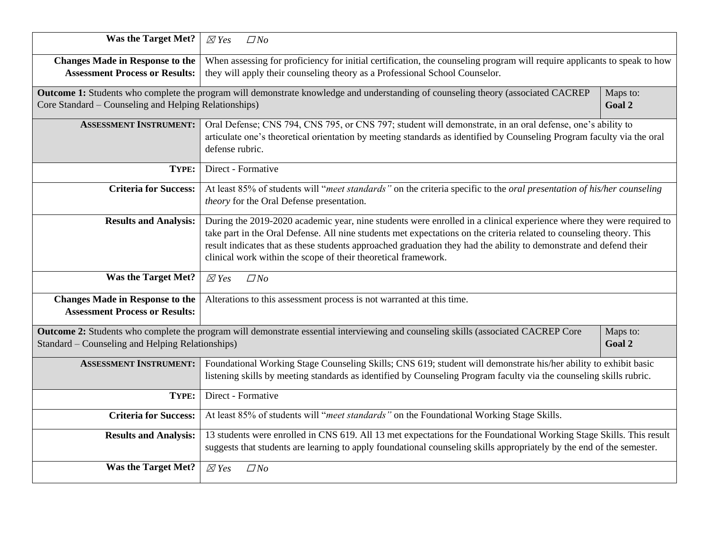| <b>Was the Target Met?</b>                                                      | $\boxtimes$ Yes<br>$\Box$ No                                                                                                                                                                                                                                                                                                                                                                                                         |                    |  |  |  |
|---------------------------------------------------------------------------------|--------------------------------------------------------------------------------------------------------------------------------------------------------------------------------------------------------------------------------------------------------------------------------------------------------------------------------------------------------------------------------------------------------------------------------------|--------------------|--|--|--|
| <b>Changes Made in Response to the</b><br><b>Assessment Process or Results:</b> | When assessing for proficiency for initial certification, the counseling program will require applicants to speak to how<br>they will apply their counseling theory as a Professional School Counselor.                                                                                                                                                                                                                              |                    |  |  |  |
| Core Standard – Counseling and Helping Relationships)                           | Outcome 1: Students who complete the program will demonstrate knowledge and understanding of counseling theory (associated CACREP                                                                                                                                                                                                                                                                                                    | Maps to:<br>Goal 2 |  |  |  |
| <b>ASSESSMENT INSTRUMENT:</b>                                                   | Oral Defense; CNS 794, CNS 795, or CNS 797; student will demonstrate, in an oral defense, one's ability to<br>articulate one's theoretical orientation by meeting standards as identified by Counseling Program faculty via the oral<br>defense rubric.                                                                                                                                                                              |                    |  |  |  |
| TYPE:                                                                           | Direct - Formative                                                                                                                                                                                                                                                                                                                                                                                                                   |                    |  |  |  |
| <b>Criteria for Success:</b>                                                    | At least 85% of students will "meet standards" on the criteria specific to the oral presentation of his/her counseling<br>theory for the Oral Defense presentation.                                                                                                                                                                                                                                                                  |                    |  |  |  |
| <b>Results and Analysis:</b>                                                    | During the 2019-2020 academic year, nine students were enrolled in a clinical experience where they were required to<br>take part in the Oral Defense. All nine students met expectations on the criteria related to counseling theory. This<br>result indicates that as these students approached graduation they had the ability to demonstrate and defend their<br>clinical work within the scope of their theoretical framework. |                    |  |  |  |
| <b>Was the Target Met?</b>                                                      | $\boxtimes$ Yes<br>$\Box$ No                                                                                                                                                                                                                                                                                                                                                                                                         |                    |  |  |  |
| <b>Changes Made in Response to the</b><br><b>Assessment Process or Results:</b> | Alterations to this assessment process is not warranted at this time.                                                                                                                                                                                                                                                                                                                                                                |                    |  |  |  |
| Standard – Counseling and Helping Relationships)                                | Outcome 2: Students who complete the program will demonstrate essential interviewing and counseling skills (associated CACREP Core                                                                                                                                                                                                                                                                                                   | Maps to:<br>Goal 2 |  |  |  |
| <b>ASSESSMENT INSTRUMENT:</b>                                                   | Foundational Working Stage Counseling Skills; CNS 619; student will demonstrate his/her ability to exhibit basic<br>listening skills by meeting standards as identified by Counseling Program faculty via the counseling skills rubric.                                                                                                                                                                                              |                    |  |  |  |
| TYPE:                                                                           | Direct - Formative                                                                                                                                                                                                                                                                                                                                                                                                                   |                    |  |  |  |
| <b>Criteria for Success:</b>                                                    | At least 85% of students will "meet standards" on the Foundational Working Stage Skills.                                                                                                                                                                                                                                                                                                                                             |                    |  |  |  |
| <b>Results and Analysis:</b>                                                    | 13 students were enrolled in CNS 619. All 13 met expectations for the Foundational Working Stage Skills. This result<br>suggests that students are learning to apply foundational counseling skills appropriately by the end of the semester.                                                                                                                                                                                        |                    |  |  |  |
| <b>Was the Target Met?</b>                                                      | $\boxtimes$ Yes<br>$\Box$ No                                                                                                                                                                                                                                                                                                                                                                                                         |                    |  |  |  |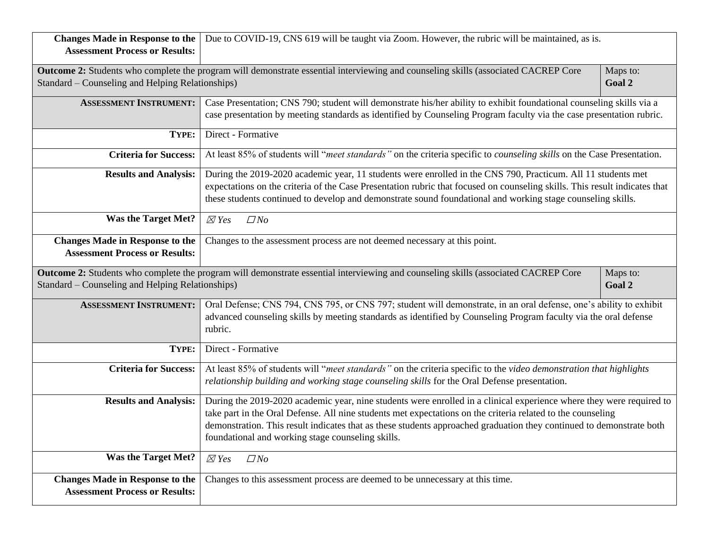| <b>Changes Made in Response to the</b><br><b>Assessment Process or Results:</b> | Due to COVID-19, CNS 619 will be taught via Zoom. However, the rubric will be maintained, as is.                                                                                                                                                                                                                                                                                                                 |                    |  |  |  |
|---------------------------------------------------------------------------------|------------------------------------------------------------------------------------------------------------------------------------------------------------------------------------------------------------------------------------------------------------------------------------------------------------------------------------------------------------------------------------------------------------------|--------------------|--|--|--|
|                                                                                 | Outcome 2: Students who complete the program will demonstrate essential interviewing and counseling skills (associated CACREP Core<br>Maps to:<br>Standard – Counseling and Helping Relationships)<br>Goal 2                                                                                                                                                                                                     |                    |  |  |  |
| <b>ASSESSMENT INSTRUMENT:</b>                                                   | Case Presentation; CNS 790; student will demonstrate his/her ability to exhibit foundational counseling skills via a<br>case presentation by meeting standards as identified by Counseling Program faculty via the case presentation rubric.                                                                                                                                                                     |                    |  |  |  |
| TYPE:                                                                           | Direct - Formative                                                                                                                                                                                                                                                                                                                                                                                               |                    |  |  |  |
| <b>Criteria for Success:</b>                                                    | At least 85% of students will "meet standards" on the criteria specific to <i>counseling skills</i> on the Case Presentation.                                                                                                                                                                                                                                                                                    |                    |  |  |  |
| <b>Results and Analysis:</b>                                                    | During the 2019-2020 academic year, 11 students were enrolled in the CNS 790, Practicum. All 11 students met<br>expectations on the criteria of the Case Presentation rubric that focused on counseling skills. This result indicates that<br>these students continued to develop and demonstrate sound foundational and working stage counseling skills.                                                        |                    |  |  |  |
| <b>Was the Target Met?</b>                                                      | $\boxtimes$ Yes<br>$\Box$ No                                                                                                                                                                                                                                                                                                                                                                                     |                    |  |  |  |
| <b>Changes Made in Response to the</b><br><b>Assessment Process or Results:</b> | Changes to the assessment process are not deemed necessary at this point.                                                                                                                                                                                                                                                                                                                                        |                    |  |  |  |
| Standard – Counseling and Helping Relationships)                                | Outcome 2: Students who complete the program will demonstrate essential interviewing and counseling skills (associated CACREP Core                                                                                                                                                                                                                                                                               | Maps to:<br>Goal 2 |  |  |  |
| <b>ASSESSMENT INSTRUMENT:</b>                                                   | Oral Defense; CNS 794, CNS 795, or CNS 797; student will demonstrate, in an oral defense, one's ability to exhibit<br>advanced counseling skills by meeting standards as identified by Counseling Program faculty via the oral defense<br>rubric.                                                                                                                                                                |                    |  |  |  |
| TYPE:                                                                           | Direct - Formative                                                                                                                                                                                                                                                                                                                                                                                               |                    |  |  |  |
| <b>Criteria for Success:</b>                                                    | At least 85% of students will "meet standards" on the criteria specific to the video demonstration that highlights<br>relationship building and working stage counseling skills for the Oral Defense presentation.                                                                                                                                                                                               |                    |  |  |  |
| <b>Results and Analysis:</b>                                                    | During the 2019-2020 academic year, nine students were enrolled in a clinical experience where they were required to<br>take part in the Oral Defense. All nine students met expectations on the criteria related to the counseling<br>demonstration. This result indicates that as these students approached graduation they continued to demonstrate both<br>foundational and working stage counseling skills. |                    |  |  |  |
| <b>Was the Target Met?</b>                                                      | $\Box$ No<br>$\boxtimes$ Yes                                                                                                                                                                                                                                                                                                                                                                                     |                    |  |  |  |
| <b>Changes Made in Response to the</b><br><b>Assessment Process or Results:</b> | Changes to this assessment process are deemed to be unnecessary at this time.                                                                                                                                                                                                                                                                                                                                    |                    |  |  |  |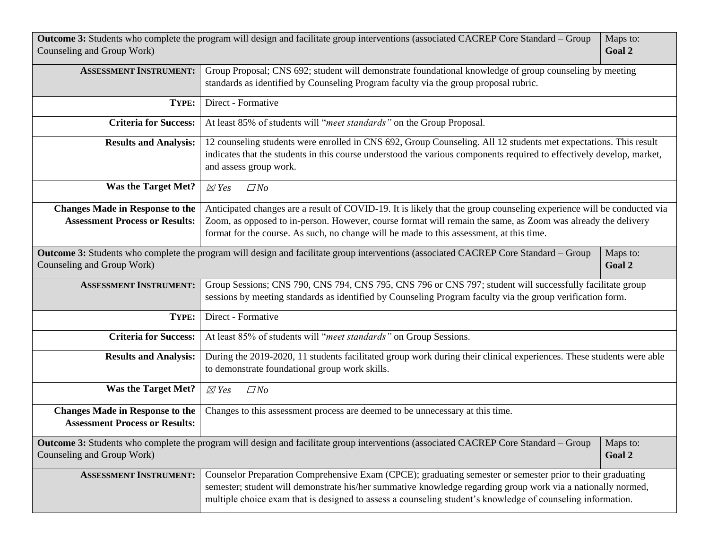| Outcome 3: Students who complete the program will design and facilitate group interventions (associated CACREP Core Standard – Group<br>Maps to:<br>Goal 2<br>Counseling and Group Work) |                                                                                                                                                                                                                                                                                                                                           |                    |  |
|------------------------------------------------------------------------------------------------------------------------------------------------------------------------------------------|-------------------------------------------------------------------------------------------------------------------------------------------------------------------------------------------------------------------------------------------------------------------------------------------------------------------------------------------|--------------------|--|
| <b>ASSESSMENT INSTRUMENT:</b>                                                                                                                                                            | Group Proposal; CNS 692; student will demonstrate foundational knowledge of group counseling by meeting<br>standards as identified by Counseling Program faculty via the group proposal rubric.                                                                                                                                           |                    |  |
| TYPE:                                                                                                                                                                                    | Direct - Formative                                                                                                                                                                                                                                                                                                                        |                    |  |
| <b>Criteria for Success:</b>                                                                                                                                                             | At least 85% of students will "meet standards" on the Group Proposal.                                                                                                                                                                                                                                                                     |                    |  |
| <b>Results and Analysis:</b>                                                                                                                                                             | 12 counseling students were enrolled in CNS 692, Group Counseling. All 12 students met expectations. This result<br>indicates that the students in this course understood the various components required to effectively develop, market,<br>and assess group work.                                                                       |                    |  |
| <b>Was the Target Met?</b>                                                                                                                                                               | $\boxtimes$ Yes<br>$\Box$ No                                                                                                                                                                                                                                                                                                              |                    |  |
| <b>Changes Made in Response to the</b><br><b>Assessment Process or Results:</b>                                                                                                          | Anticipated changes are a result of COVID-19. It is likely that the group counseling experience will be conducted via<br>Zoom, as opposed to in-person. However, course format will remain the same, as Zoom was already the delivery<br>format for the course. As such, no change will be made to this assessment, at this time.         |                    |  |
| Counseling and Group Work)                                                                                                                                                               | Outcome 3: Students who complete the program will design and facilitate group interventions (associated CACREP Core Standard – Group                                                                                                                                                                                                      | Maps to:<br>Goal 2 |  |
| <b>ASSESSMENT INSTRUMENT:</b>                                                                                                                                                            | Group Sessions; CNS 790, CNS 794, CNS 795, CNS 796 or CNS 797; student will successfully facilitate group<br>sessions by meeting standards as identified by Counseling Program faculty via the group verification form.                                                                                                                   |                    |  |
| TYPE:                                                                                                                                                                                    | Direct - Formative                                                                                                                                                                                                                                                                                                                        |                    |  |
| <b>Criteria for Success:</b>                                                                                                                                                             | At least 85% of students will "meet standards" on Group Sessions.                                                                                                                                                                                                                                                                         |                    |  |
| <b>Results and Analysis:</b>                                                                                                                                                             | During the 2019-2020, 11 students facilitated group work during their clinical experiences. These students were able<br>to demonstrate foundational group work skills.                                                                                                                                                                    |                    |  |
| <b>Was the Target Met?</b>                                                                                                                                                               | $\boxtimes$ Yes<br>$\Box$ No                                                                                                                                                                                                                                                                                                              |                    |  |
| <b>Changes Made in Response to the</b><br><b>Assessment Process or Results:</b>                                                                                                          | Changes to this assessment process are deemed to be unnecessary at this time.                                                                                                                                                                                                                                                             |                    |  |
| Counseling and Group Work)                                                                                                                                                               | Outcome 3: Students who complete the program will design and facilitate group interventions (associated CACREP Core Standard - Group                                                                                                                                                                                                      | Maps to:<br>Goal 2 |  |
| <b>ASSESSMENT INSTRUMENT:</b>                                                                                                                                                            | Counselor Preparation Comprehensive Exam (CPCE); graduating semester or semester prior to their graduating<br>semester; student will demonstrate his/her summative knowledge regarding group work via a nationally normed,<br>multiple choice exam that is designed to assess a counseling student's knowledge of counseling information. |                    |  |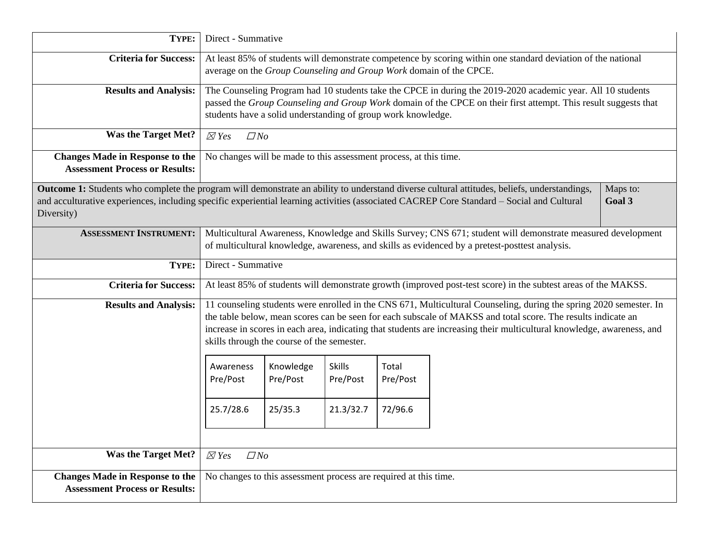| TYPE:                                                                                                                                                   | Direct - Summative                                                                                                                                                                  |                                                                   |                           |                   |                                                                                                                                                                                                                                                                                                                                                              |          |
|---------------------------------------------------------------------------------------------------------------------------------------------------------|-------------------------------------------------------------------------------------------------------------------------------------------------------------------------------------|-------------------------------------------------------------------|---------------------------|-------------------|--------------------------------------------------------------------------------------------------------------------------------------------------------------------------------------------------------------------------------------------------------------------------------------------------------------------------------------------------------------|----------|
| <b>Criteria for Success:</b>                                                                                                                            | At least 85% of students will demonstrate competence by scoring within one standard deviation of the national<br>average on the Group Counseling and Group Work domain of the CPCE. |                                                                   |                           |                   |                                                                                                                                                                                                                                                                                                                                                              |          |
| <b>Results and Analysis:</b>                                                                                                                            |                                                                                                                                                                                     | students have a solid understanding of group work knowledge.      |                           |                   | The Counseling Program had 10 students take the CPCE in during the 2019-2020 academic year. All 10 students<br>passed the Group Counseling and Group Work domain of the CPCE on their first attempt. This result suggests that                                                                                                                               |          |
| <b>Was the Target Met?</b>                                                                                                                              | $\boxtimes$ Yes<br>$\Box$ No                                                                                                                                                        |                                                                   |                           |                   |                                                                                                                                                                                                                                                                                                                                                              |          |
| <b>Changes Made in Response to the</b><br><b>Assessment Process or Results:</b>                                                                         |                                                                                                                                                                                     | No changes will be made to this assessment process, at this time. |                           |                   |                                                                                                                                                                                                                                                                                                                                                              |          |
|                                                                                                                                                         |                                                                                                                                                                                     |                                                                   |                           |                   | Outcome 1: Students who complete the program will demonstrate an ability to understand diverse cultural attitudes, beliefs, understandings,                                                                                                                                                                                                                  | Maps to: |
| and acculturative experiences, including specific experiential learning activities (associated CACREP Core Standard - Social and Cultural<br>Diversity) |                                                                                                                                                                                     |                                                                   |                           |                   |                                                                                                                                                                                                                                                                                                                                                              | Goal 3   |
| <b>ASSESSMENT INSTRUMENT:</b>                                                                                                                           |                                                                                                                                                                                     |                                                                   |                           |                   | Multicultural Awareness, Knowledge and Skills Survey; CNS 671; student will demonstrate measured development                                                                                                                                                                                                                                                 |          |
|                                                                                                                                                         |                                                                                                                                                                                     |                                                                   |                           |                   | of multicultural knowledge, awareness, and skills as evidenced by a pretest-posttest analysis.                                                                                                                                                                                                                                                               |          |
| TYPE:                                                                                                                                                   |                                                                                                                                                                                     | Direct - Summative                                                |                           |                   |                                                                                                                                                                                                                                                                                                                                                              |          |
| <b>Criteria for Success:</b>                                                                                                                            | At least 85% of students will demonstrate growth (improved post-test score) in the subtest areas of the MAKSS.                                                                      |                                                                   |                           |                   |                                                                                                                                                                                                                                                                                                                                                              |          |
| <b>Results and Analysis:</b>                                                                                                                            |                                                                                                                                                                                     | skills through the course of the semester.                        |                           |                   | 11 counseling students were enrolled in the CNS 671, Multicultural Counseling, during the spring 2020 semester. In<br>the table below, mean scores can be seen for each subscale of MAKSS and total score. The results indicate an<br>increase in scores in each area, indicating that students are increasing their multicultural knowledge, awareness, and |          |
|                                                                                                                                                         | Awareness<br>Pre/Post                                                                                                                                                               | Knowledge<br>Pre/Post                                             | <b>Skills</b><br>Pre/Post | Total<br>Pre/Post |                                                                                                                                                                                                                                                                                                                                                              |          |
|                                                                                                                                                         | 25.7/28.6                                                                                                                                                                           | 25/35.3                                                           | 21.3/32.7                 | 72/96.6           |                                                                                                                                                                                                                                                                                                                                                              |          |
|                                                                                                                                                         |                                                                                                                                                                                     |                                                                   |                           |                   |                                                                                                                                                                                                                                                                                                                                                              |          |
| <b>Was the Target Met?</b>                                                                                                                              | $\boxtimes$ Yes<br>$\Box$ No                                                                                                                                                        |                                                                   |                           |                   |                                                                                                                                                                                                                                                                                                                                                              |          |
| <b>Changes Made in Response to the</b><br><b>Assessment Process or Results:</b>                                                                         |                                                                                                                                                                                     | No changes to this assessment process are required at this time.  |                           |                   |                                                                                                                                                                                                                                                                                                                                                              |          |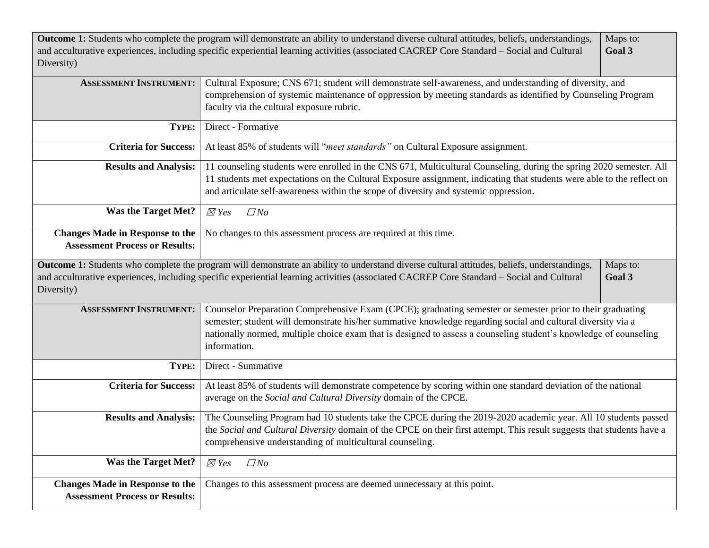| Diversity)                             | Outcome 1: Students who complete the program will demonstrate an ability to understand diverse cultural attitudes, beliefs, understandings,<br>and acculturative experiences, including specific experiential learning activities (associated CACREP Core Standard - Social and Cultural | Maps to:<br>Goal 3 |  |  |
|----------------------------------------|------------------------------------------------------------------------------------------------------------------------------------------------------------------------------------------------------------------------------------------------------------------------------------------|--------------------|--|--|
| <b>ASSESSMENT INSTRUMENT:</b>          | Cultural Exposure; CNS 671; student will demonstrate self-awareness, and understanding of diversity, and                                                                                                                                                                                 |                    |  |  |
|                                        | comprehension of systemic maintenance of oppression by meeting standards as identified by Counseling Program                                                                                                                                                                             |                    |  |  |
|                                        | faculty via the cultural exposure rubric.                                                                                                                                                                                                                                                |                    |  |  |
| TYPE:                                  | Direct - Formative                                                                                                                                                                                                                                                                       |                    |  |  |
| <b>Criteria for Success:</b>           | At least 85% of students will "meet standards" on Cultural Exposure assignment.                                                                                                                                                                                                          |                    |  |  |
| <b>Results and Analysis:</b>           | 11 counseling students were enrolled in the CNS 671, Multicultural Counseling, during the spring 2020 semester. All                                                                                                                                                                      |                    |  |  |
|                                        | 11 students met expectations on the Cultural Exposure assignment, indicating that students were able to the reflect on                                                                                                                                                                   |                    |  |  |
|                                        | and articulate self-awareness within the scope of diversity and systemic oppression.                                                                                                                                                                                                     |                    |  |  |
| <b>Was the Target Met?</b>             | $\boxtimes$ Yes<br>$\Box$ No                                                                                                                                                                                                                                                             |                    |  |  |
| <b>Changes Made in Response to the</b> | No changes to this assessment process are required at this time.                                                                                                                                                                                                                         |                    |  |  |
| <b>Assessment Process or Results:</b>  |                                                                                                                                                                                                                                                                                          |                    |  |  |
|                                        | Outcome 1: Students who complete the program will demonstrate an ability to understand diverse cultural attitudes, beliefs, understandings,                                                                                                                                              | Maps to:           |  |  |
| Diversity)                             | and acculturative experiences, including specific experiential learning activities (associated CACREP Core Standard - Social and Cultural                                                                                                                                                | Goal 3             |  |  |
| <b>ASSESSMENT INSTRUMENT:</b>          | Counselor Preparation Comprehensive Exam (CPCE); graduating semester or semester prior to their graduating                                                                                                                                                                               |                    |  |  |
|                                        | semester; student will demonstrate his/her summative knowledge regarding social and cultural diversity via a                                                                                                                                                                             |                    |  |  |
|                                        | nationally normed, multiple choice exam that is designed to assess a counseling student's knowledge of counseling                                                                                                                                                                        |                    |  |  |
|                                        | information.                                                                                                                                                                                                                                                                             |                    |  |  |
| TYPE:                                  | Direct - Summative                                                                                                                                                                                                                                                                       |                    |  |  |
| <b>Criteria for Success:</b>           | At least 85% of students will demonstrate competence by scoring within one standard deviation of the national                                                                                                                                                                            |                    |  |  |
|                                        | average on the Social and Cultural Diversity domain of the CPCE.                                                                                                                                                                                                                         |                    |  |  |
| <b>Results and Analysis:</b>           | The Counseling Program had 10 students take the CPCE during the 2019-2020 academic year. All 10 students passed                                                                                                                                                                          |                    |  |  |
|                                        | the Social and Cultural Diversity domain of the CPCE on their first attempt. This result suggests that students have a                                                                                                                                                                   |                    |  |  |
|                                        | comprehensive understanding of multicultural counseling.                                                                                                                                                                                                                                 |                    |  |  |
| <b>Was the Target Met?</b>             | $\boxtimes$ Yes<br>$\Box$ No                                                                                                                                                                                                                                                             |                    |  |  |
| <b>Changes Made in Response to the</b> | Changes to this assessment process are deemed unnecessary at this point.                                                                                                                                                                                                                 |                    |  |  |
| <b>Assessment Process or Results:</b>  |                                                                                                                                                                                                                                                                                          |                    |  |  |
|                                        |                                                                                                                                                                                                                                                                                          |                    |  |  |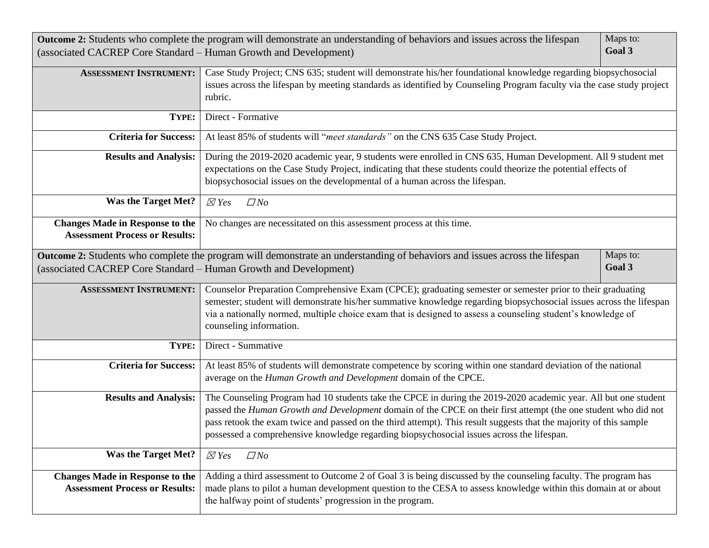| (associated CACREP Core Standard - Human Growth and Development)                | Outcome 2: Students who complete the program will demonstrate an understanding of behaviors and issues across the lifespan                                                                                                                                                                                                                                                                                                                           | Maps to:<br>Goal 3 |  |
|---------------------------------------------------------------------------------|------------------------------------------------------------------------------------------------------------------------------------------------------------------------------------------------------------------------------------------------------------------------------------------------------------------------------------------------------------------------------------------------------------------------------------------------------|--------------------|--|
| <b>ASSESSMENT INSTRUMENT:</b>                                                   | Case Study Project; CNS 635; student will demonstrate his/her foundational knowledge regarding biopsychosocial<br>issues across the lifespan by meeting standards as identified by Counseling Program faculty via the case study project<br>rubric.                                                                                                                                                                                                  |                    |  |
| TYPE:                                                                           | Direct - Formative                                                                                                                                                                                                                                                                                                                                                                                                                                   |                    |  |
| <b>Criteria for Success:</b>                                                    | At least 85% of students will "meet standards" on the CNS 635 Case Study Project.                                                                                                                                                                                                                                                                                                                                                                    |                    |  |
| <b>Results and Analysis:</b>                                                    | During the 2019-2020 academic year, 9 students were enrolled in CNS 635, Human Development. All 9 student met<br>expectations on the Case Study Project, indicating that these students could theorize the potential effects of<br>biopsychosocial issues on the developmental of a human across the lifespan.                                                                                                                                       |                    |  |
| <b>Was the Target Met?</b>                                                      | $\boxtimes$ Yes<br>$\Box$ No                                                                                                                                                                                                                                                                                                                                                                                                                         |                    |  |
| <b>Changes Made in Response to the</b><br><b>Assessment Process or Results:</b> | No changes are necessitated on this assessment process at this time.                                                                                                                                                                                                                                                                                                                                                                                 |                    |  |
|                                                                                 | Outcome 2: Students who complete the program will demonstrate an understanding of behaviors and issues across the lifespan                                                                                                                                                                                                                                                                                                                           | Maps to:           |  |
| (associated CACREP Core Standard - Human Growth and Development)                |                                                                                                                                                                                                                                                                                                                                                                                                                                                      | Goal 3             |  |
| <b>ASSESSMENT INSTRUMENT:</b>                                                   | Counselor Preparation Comprehensive Exam (CPCE); graduating semester or semester prior to their graduating<br>semester; student will demonstrate his/her summative knowledge regarding biopsychosocial issues across the lifespan<br>via a nationally normed, multiple choice exam that is designed to assess a counseling student's knowledge of<br>counseling information.                                                                         |                    |  |
| TYPE:                                                                           | Direct - Summative                                                                                                                                                                                                                                                                                                                                                                                                                                   |                    |  |
| <b>Criteria for Success:</b>                                                    | At least 85% of students will demonstrate competence by scoring within one standard deviation of the national<br>average on the Human Growth and Development domain of the CPCE.                                                                                                                                                                                                                                                                     |                    |  |
| <b>Results and Analysis:</b>                                                    | The Counseling Program had 10 students take the CPCE in during the 2019-2020 academic year. All but one student<br>passed the Human Growth and Development domain of the CPCE on their first attempt (the one student who did not<br>pass retook the exam twice and passed on the third attempt). This result suggests that the majority of this sample<br>possessed a comprehensive knowledge regarding biopsychosocial issues across the lifespan. |                    |  |
| <b>Was the Target Met?</b>                                                      | $\boxtimes$ Yes<br>$\Box$ No                                                                                                                                                                                                                                                                                                                                                                                                                         |                    |  |
| <b>Changes Made in Response to the</b><br><b>Assessment Process or Results:</b> | Adding a third assessment to Outcome 2 of Goal 3 is being discussed by the counseling faculty. The program has<br>made plans to pilot a human development question to the CESA to assess knowledge within this domain at or about<br>the halfway point of students' progression in the program.                                                                                                                                                      |                    |  |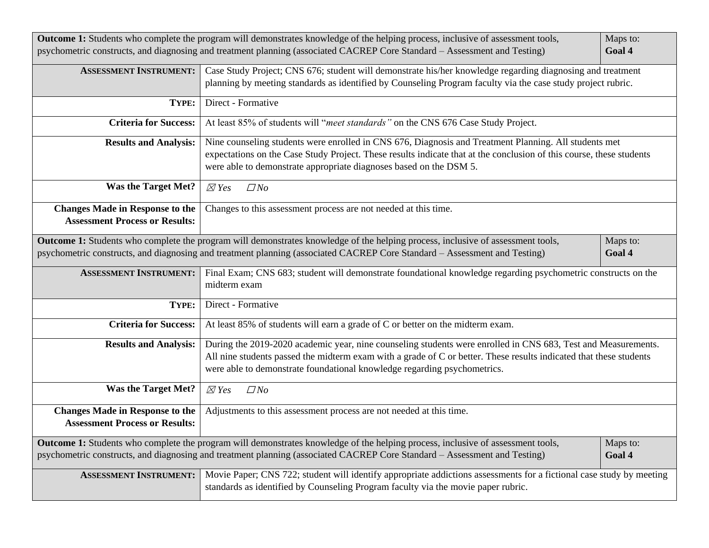| Outcome 1: Students who complete the program will demonstrates knowledge of the helping process, inclusive of assessment tools,<br>Maps to:<br>psychometric constructs, and diagnosing and treatment planning (associated CACREP Core Standard - Assessment and Testing)<br>Goal 4 |                                                                                                                                                                                                                                                                                                                 |          |  |  |  |
|------------------------------------------------------------------------------------------------------------------------------------------------------------------------------------------------------------------------------------------------------------------------------------|-----------------------------------------------------------------------------------------------------------------------------------------------------------------------------------------------------------------------------------------------------------------------------------------------------------------|----------|--|--|--|
| <b>ASSESSMENT INSTRUMENT:</b>                                                                                                                                                                                                                                                      | Case Study Project; CNS 676; student will demonstrate his/her knowledge regarding diagnosing and treatment<br>planning by meeting standards as identified by Counseling Program faculty via the case study project rubric.                                                                                      |          |  |  |  |
| TYPE:                                                                                                                                                                                                                                                                              | Direct - Formative                                                                                                                                                                                                                                                                                              |          |  |  |  |
| <b>Criteria for Success:</b>                                                                                                                                                                                                                                                       | At least 85% of students will "meet standards" on the CNS 676 Case Study Project.                                                                                                                                                                                                                               |          |  |  |  |
| <b>Results and Analysis:</b>                                                                                                                                                                                                                                                       | Nine counseling students were enrolled in CNS 676, Diagnosis and Treatment Planning. All students met<br>expectations on the Case Study Project. These results indicate that at the conclusion of this course, these students<br>were able to demonstrate appropriate diagnoses based on the DSM 5.             |          |  |  |  |
| <b>Was the Target Met?</b>                                                                                                                                                                                                                                                         | $\boxtimes$ Yes<br>$\Box$ No                                                                                                                                                                                                                                                                                    |          |  |  |  |
| <b>Changes Made in Response to the</b><br><b>Assessment Process or Results:</b>                                                                                                                                                                                                    | Changes to this assessment process are not needed at this time.                                                                                                                                                                                                                                                 |          |  |  |  |
| Outcome 1: Students who complete the program will demonstrates knowledge of the helping process, inclusive of assessment tools,<br>Maps to:                                                                                                                                        |                                                                                                                                                                                                                                                                                                                 |          |  |  |  |
|                                                                                                                                                                                                                                                                                    | psychometric constructs, and diagnosing and treatment planning (associated CACREP Core Standard - Assessment and Testing)                                                                                                                                                                                       | Goal 4   |  |  |  |
| <b>ASSESSMENT INSTRUMENT:</b>                                                                                                                                                                                                                                                      | Final Exam; CNS 683; student will demonstrate foundational knowledge regarding psychometric constructs on the<br>midterm exam                                                                                                                                                                                   |          |  |  |  |
| TYPE:                                                                                                                                                                                                                                                                              | Direct - Formative                                                                                                                                                                                                                                                                                              |          |  |  |  |
| <b>Criteria for Success:</b>                                                                                                                                                                                                                                                       | At least 85% of students will earn a grade of C or better on the midterm exam.                                                                                                                                                                                                                                  |          |  |  |  |
| <b>Results and Analysis:</b>                                                                                                                                                                                                                                                       | During the 2019-2020 academic year, nine counseling students were enrolled in CNS 683, Test and Measurements.<br>All nine students passed the midterm exam with a grade of C or better. These results indicated that these students<br>were able to demonstrate foundational knowledge regarding psychometrics. |          |  |  |  |
| <b>Was the Target Met?</b>                                                                                                                                                                                                                                                         | $\boxtimes$ Yes<br>$\Box$ No                                                                                                                                                                                                                                                                                    |          |  |  |  |
| <b>Changes Made in Response to the</b><br><b>Assessment Process or Results:</b>                                                                                                                                                                                                    | Adjustments to this assessment process are not needed at this time.                                                                                                                                                                                                                                             |          |  |  |  |
|                                                                                                                                                                                                                                                                                    | Outcome 1: Students who complete the program will demonstrates knowledge of the helping process, inclusive of assessment tools,                                                                                                                                                                                 | Maps to: |  |  |  |
|                                                                                                                                                                                                                                                                                    | psychometric constructs, and diagnosing and treatment planning (associated CACREP Core Standard - Assessment and Testing)                                                                                                                                                                                       | Goal 4   |  |  |  |
| <b>ASSESSMENT INSTRUMENT:</b>                                                                                                                                                                                                                                                      | Movie Paper; CNS 722; student will identify appropriate addictions assessments for a fictional case study by meeting<br>standards as identified by Counseling Program faculty via the movie paper rubric.                                                                                                       |          |  |  |  |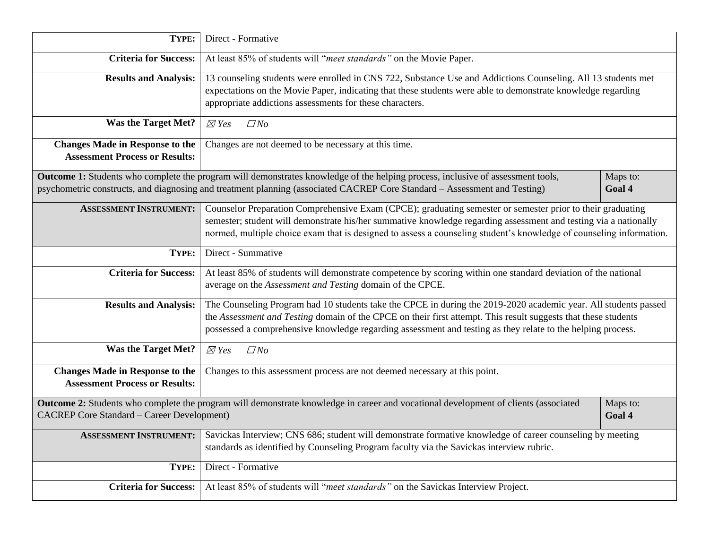| TYPE:                                                                           | Direct - Formative                                                                                                                                                                                                                                                                                                                                    |                    |  |  |
|---------------------------------------------------------------------------------|-------------------------------------------------------------------------------------------------------------------------------------------------------------------------------------------------------------------------------------------------------------------------------------------------------------------------------------------------------|--------------------|--|--|
| <b>Criteria for Success:</b>                                                    | At least 85% of students will "meet standards" on the Movie Paper.                                                                                                                                                                                                                                                                                    |                    |  |  |
| <b>Results and Analysis:</b>                                                    | 13 counseling students were enrolled in CNS 722, Substance Use and Addictions Counseling. All 13 students met<br>expectations on the Movie Paper, indicating that these students were able to demonstrate knowledge regarding<br>appropriate addictions assessments for these characters.                                                             |                    |  |  |
| <b>Was the Target Met?</b>                                                      | $\boxtimes$ Yes<br>$\Box$ No                                                                                                                                                                                                                                                                                                                          |                    |  |  |
| <b>Changes Made in Response to the</b><br><b>Assessment Process or Results:</b> | Changes are not deemed to be necessary at this time.                                                                                                                                                                                                                                                                                                  |                    |  |  |
|                                                                                 | Outcome 1: Students who complete the program will demonstrates knowledge of the helping process, inclusive of assessment tools,<br>psychometric constructs, and diagnosing and treatment planning (associated CACREP Core Standard - Assessment and Testing)                                                                                          | Maps to:<br>Goal 4 |  |  |
| <b>ASSESSMENT INSTRUMENT:</b>                                                   | Counselor Preparation Comprehensive Exam (CPCE); graduating semester or semester prior to their graduating<br>semester; student will demonstrate his/her summative knowledge regarding assessment and testing via a nationally<br>normed, multiple choice exam that is designed to assess a counseling student's knowledge of counseling information. |                    |  |  |
| TYPE:                                                                           | Direct - Summative                                                                                                                                                                                                                                                                                                                                    |                    |  |  |
| <b>Criteria for Success:</b>                                                    | At least 85% of students will demonstrate competence by scoring within one standard deviation of the national<br>average on the Assessment and Testing domain of the CPCE.                                                                                                                                                                            |                    |  |  |
| <b>Results and Analysis:</b>                                                    | The Counseling Program had 10 students take the CPCE in during the 2019-2020 academic year. All students passed<br>the Assessment and Testing domain of the CPCE on their first attempt. This result suggests that these students<br>possessed a comprehensive knowledge regarding assessment and testing as they relate to the helping process.      |                    |  |  |
| <b>Was the Target Met?</b>                                                      | $\boxtimes$ Yes<br>$\Box$ No                                                                                                                                                                                                                                                                                                                          |                    |  |  |
| <b>Changes Made in Response to the</b><br><b>Assessment Process or Results:</b> | Changes to this assessment process are not deemed necessary at this point.                                                                                                                                                                                                                                                                            |                    |  |  |
| <b>CACREP Core Standard - Career Development)</b>                               | Outcome 2: Students who complete the program will demonstrate knowledge in career and vocational development of clients (associated                                                                                                                                                                                                                   | Maps to:<br>Goal 4 |  |  |
| <b>ASSESSMENT INSTRUMENT:</b>                                                   | Savickas Interview; CNS 686; student will demonstrate formative knowledge of career counseling by meeting<br>standards as identified by Counseling Program faculty via the Savickas interview rubric.                                                                                                                                                 |                    |  |  |
| TYPE:                                                                           | Direct - Formative                                                                                                                                                                                                                                                                                                                                    |                    |  |  |
| <b>Criteria for Success:</b>                                                    | At least 85% of students will "meet standards" on the Savickas Interview Project.                                                                                                                                                                                                                                                                     |                    |  |  |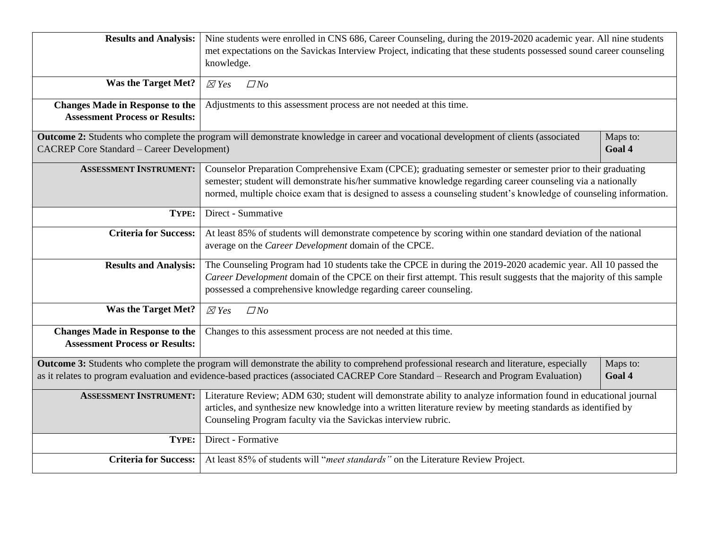| <b>Results and Analysis:</b>                      | Nine students were enrolled in CNS 686, Career Counseling, during the 2019-2020 academic year. All nine students                         |          |  |  |
|---------------------------------------------------|------------------------------------------------------------------------------------------------------------------------------------------|----------|--|--|
|                                                   | met expectations on the Savickas Interview Project, indicating that these students possessed sound career counseling                     |          |  |  |
|                                                   | knowledge.                                                                                                                               |          |  |  |
|                                                   |                                                                                                                                          |          |  |  |
| <b>Was the Target Met?</b>                        | $\Box$ No<br>$\boxtimes$ Yes                                                                                                             |          |  |  |
| <b>Changes Made in Response to the</b>            |                                                                                                                                          |          |  |  |
| <b>Assessment Process or Results:</b>             | Adjustments to this assessment process are not needed at this time.                                                                      |          |  |  |
|                                                   |                                                                                                                                          |          |  |  |
|                                                   | Outcome 2: Students who complete the program will demonstrate knowledge in career and vocational development of clients (associated      | Maps to: |  |  |
| <b>CACREP</b> Core Standard - Career Development) |                                                                                                                                          | Goal 4   |  |  |
| <b>ASSESSMENT INSTRUMENT:</b>                     | Counselor Preparation Comprehensive Exam (CPCE); graduating semester or semester prior to their graduating                               |          |  |  |
|                                                   | semester; student will demonstrate his/her summative knowledge regarding career counseling via a nationally                              |          |  |  |
|                                                   | normed, multiple choice exam that is designed to assess a counseling student's knowledge of counseling information.                      |          |  |  |
|                                                   |                                                                                                                                          |          |  |  |
| TYPE:                                             | Direct - Summative                                                                                                                       |          |  |  |
| <b>Criteria for Success:</b>                      | At least 85% of students will demonstrate competence by scoring within one standard deviation of the national                            |          |  |  |
|                                                   | average on the Career Development domain of the CPCE.                                                                                    |          |  |  |
|                                                   |                                                                                                                                          |          |  |  |
| <b>Results and Analysis:</b>                      | The Counseling Program had 10 students take the CPCE in during the 2019-2020 academic year. All 10 passed the                            |          |  |  |
|                                                   | Career Development domain of the CPCE on their first attempt. This result suggests that the majority of this sample                      |          |  |  |
|                                                   | possessed a comprehensive knowledge regarding career counseling.                                                                         |          |  |  |
| <b>Was the Target Met?</b>                        | $\Box$ No<br>$\boxtimes$ Yes                                                                                                             |          |  |  |
|                                                   |                                                                                                                                          |          |  |  |
| <b>Changes Made in Response to the</b>            | Changes to this assessment process are not needed at this time.                                                                          |          |  |  |
| <b>Assessment Process or Results:</b>             |                                                                                                                                          |          |  |  |
|                                                   | Outcome 3: Students who complete the program will demonstrate the ability to comprehend professional research and literature, especially | Maps to: |  |  |
|                                                   | as it relates to program evaluation and evidence-based practices (associated CACREP Core Standard - Research and Program Evaluation)     | Goal 4   |  |  |
|                                                   |                                                                                                                                          |          |  |  |
| <b>ASSESSMENT INSTRUMENT:</b>                     | Literature Review; ADM 630; student will demonstrate ability to analyze information found in educational journal                         |          |  |  |
|                                                   | articles, and synthesize new knowledge into a written literature review by meeting standards as identified by                            |          |  |  |
|                                                   | Counseling Program faculty via the Savickas interview rubric.                                                                            |          |  |  |
| TYPE:                                             | Direct - Formative                                                                                                                       |          |  |  |
|                                                   |                                                                                                                                          |          |  |  |
| <b>Criteria for Success:</b>                      | At least 85% of students will "meet standards" on the Literature Review Project.                                                         |          |  |  |
|                                                   |                                                                                                                                          |          |  |  |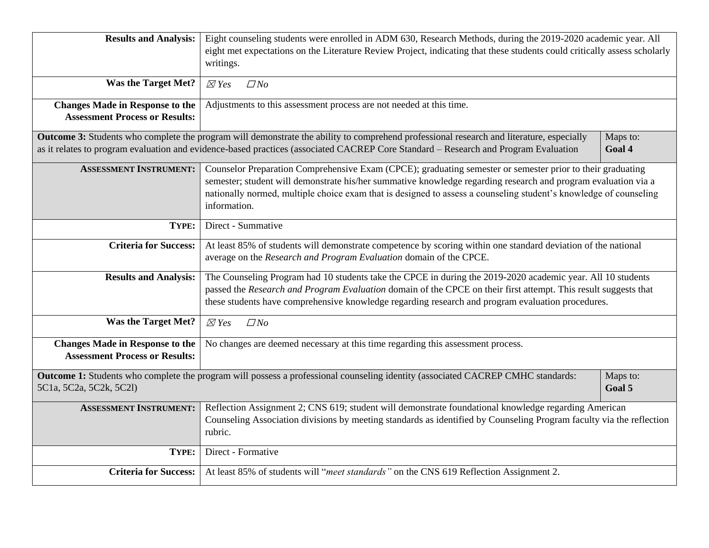| <b>Results and Analysis:</b>           | Eight counseling students were enrolled in ADM 630, Research Methods, during the 2019-2020 academic year. All                            |          |  |  |
|----------------------------------------|------------------------------------------------------------------------------------------------------------------------------------------|----------|--|--|
|                                        | eight met expectations on the Literature Review Project, indicating that these students could critically assess scholarly                |          |  |  |
|                                        | writings.                                                                                                                                |          |  |  |
| <b>Was the Target Met?</b>             | $\boxtimes$ Yes<br>$\Box$ No                                                                                                             |          |  |  |
|                                        |                                                                                                                                          |          |  |  |
| <b>Changes Made in Response to the</b> | Adjustments to this assessment process are not needed at this time.                                                                      |          |  |  |
| <b>Assessment Process or Results:</b>  |                                                                                                                                          |          |  |  |
|                                        | Outcome 3: Students who complete the program will demonstrate the ability to comprehend professional research and literature, especially | Maps to: |  |  |
|                                        | as it relates to program evaluation and evidence-based practices (associated CACREP Core Standard - Research and Program Evaluation      | Goal 4   |  |  |
| <b>ASSESSMENT INSTRUMENT:</b>          | Counselor Preparation Comprehensive Exam (CPCE); graduating semester or semester prior to their graduating                               |          |  |  |
|                                        | semester; student will demonstrate his/her summative knowledge regarding research and program evaluation via a                           |          |  |  |
|                                        | nationally normed, multiple choice exam that is designed to assess a counseling student's knowledge of counseling<br>information.        |          |  |  |
|                                        |                                                                                                                                          |          |  |  |
| TYPE:                                  | Direct - Summative                                                                                                                       |          |  |  |
| <b>Criteria for Success:</b>           | At least 85% of students will demonstrate competence by scoring within one standard deviation of the national                            |          |  |  |
|                                        | average on the Research and Program Evaluation domain of the CPCE.                                                                       |          |  |  |
| <b>Results and Analysis:</b>           | The Counseling Program had 10 students take the CPCE in during the 2019-2020 academic year. All 10 students                              |          |  |  |
|                                        | passed the Research and Program Evaluation domain of the CPCE on their first attempt. This result suggests that                          |          |  |  |
|                                        | these students have comprehensive knowledge regarding research and program evaluation procedures.                                        |          |  |  |
| <b>Was the Target Met?</b>             | $\boxtimes$ Yes<br>$\Box$ No                                                                                                             |          |  |  |
|                                        |                                                                                                                                          |          |  |  |
| <b>Assessment Process or Results:</b>  | <b>Changes Made in Response to the</b><br>No changes are deemed necessary at this time regarding this assessment process.                |          |  |  |
|                                        |                                                                                                                                          |          |  |  |
|                                        | Outcome 1: Students who complete the program will possess a professional counseling identity (associated CACREP CMHC standards:          | Maps to: |  |  |
| 5C1a, 5C2a, 5C2k, 5C2l)                |                                                                                                                                          | Goal 5   |  |  |
| <b>ASSESSMENT INSTRUMENT:</b>          | Reflection Assignment 2; CNS 619; student will demonstrate foundational knowledge regarding American                                     |          |  |  |
|                                        | Counseling Association divisions by meeting standards as identified by Counseling Program faculty via the reflection                     |          |  |  |
|                                        | rubric.                                                                                                                                  |          |  |  |
| TYPE:                                  | Direct - Formative                                                                                                                       |          |  |  |
| <b>Criteria for Success:</b>           | At least 85% of students will "meet standards" on the CNS 619 Reflection Assignment 2.                                                   |          |  |  |
|                                        |                                                                                                                                          |          |  |  |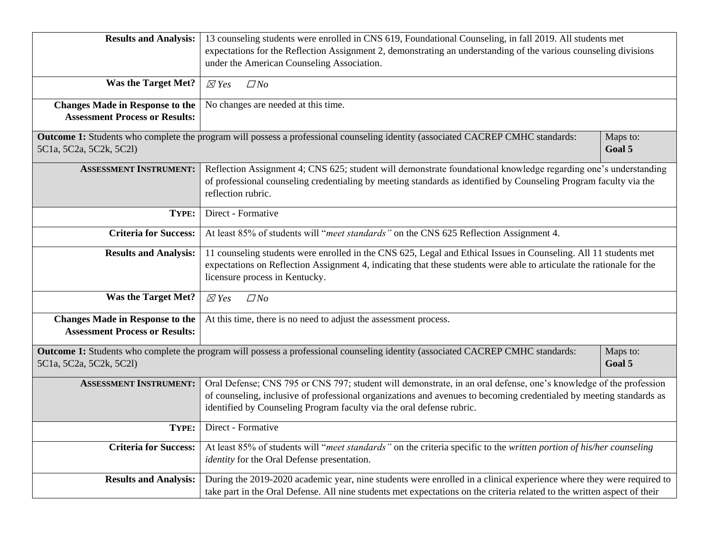| <b>Results and Analysis:</b>                                                | 13 counseling students were enrolled in CNS 619, Foundational Counseling, in fall 2019. All students met                                                                                                                             |          |  |
|-----------------------------------------------------------------------------|--------------------------------------------------------------------------------------------------------------------------------------------------------------------------------------------------------------------------------------|----------|--|
|                                                                             | expectations for the Reflection Assignment 2, demonstrating an understanding of the various counseling divisions                                                                                                                     |          |  |
|                                                                             | under the American Counseling Association.                                                                                                                                                                                           |          |  |
|                                                                             |                                                                                                                                                                                                                                      |          |  |
| <b>Was the Target Met?</b>                                                  | $\boxtimes$ Yes<br>$\Box$ No                                                                                                                                                                                                         |          |  |
| <b>Changes Made in Response to the</b>                                      | No changes are needed at this time.                                                                                                                                                                                                  |          |  |
| <b>Assessment Process or Results:</b>                                       |                                                                                                                                                                                                                                      |          |  |
|                                                                             | Outcome 1: Students who complete the program will possess a professional counseling identity (associated CACREP CMHC standards:                                                                                                      | Maps to: |  |
| 5C <sub>1</sub> a, 5C <sub>2</sub> a, 5C <sub>2</sub> k, 5C <sub>21</sub> ) |                                                                                                                                                                                                                                      | Goal 5   |  |
| <b>ASSESSMENT INSTRUMENT:</b>                                               |                                                                                                                                                                                                                                      |          |  |
|                                                                             | Reflection Assignment 4; CNS 625; student will demonstrate foundational knowledge regarding one's understanding<br>of professional counseling credentialing by meeting standards as identified by Counseling Program faculty via the |          |  |
|                                                                             | reflection rubric.                                                                                                                                                                                                                   |          |  |
|                                                                             |                                                                                                                                                                                                                                      |          |  |
| TYPE:                                                                       | Direct - Formative                                                                                                                                                                                                                   |          |  |
| <b>Criteria for Success:</b>                                                | At least 85% of students will "meet standards" on the CNS 625 Reflection Assignment 4.                                                                                                                                               |          |  |
| <b>Results and Analysis:</b>                                                | 11 counseling students were enrolled in the CNS 625, Legal and Ethical Issues in Counseling. All 11 students met                                                                                                                     |          |  |
|                                                                             | expectations on Reflection Assignment 4, indicating that these students were able to articulate the rationale for the                                                                                                                |          |  |
|                                                                             | licensure process in Kentucky.                                                                                                                                                                                                       |          |  |
| <b>Was the Target Met?</b>                                                  | $\Box$ No                                                                                                                                                                                                                            |          |  |
|                                                                             | $\boxtimes$ Yes                                                                                                                                                                                                                      |          |  |
| <b>Changes Made in Response to the</b>                                      | At this time, there is no need to adjust the assessment process.                                                                                                                                                                     |          |  |
| <b>Assessment Process or Results:</b>                                       |                                                                                                                                                                                                                                      |          |  |
|                                                                             | Outcome 1: Students who complete the program will possess a professional counseling identity (associated CACREP CMHC standards:                                                                                                      | Maps to: |  |
| 5C <sub>1</sub> a, 5C <sub>2</sub> a, 5C <sub>2</sub> k, 5C <sub>21</sub> ) |                                                                                                                                                                                                                                      | Goal 5   |  |
|                                                                             |                                                                                                                                                                                                                                      |          |  |
| <b>ASSESSMENT INSTRUMENT:</b>                                               | Oral Defense; CNS 795 or CNS 797; student will demonstrate, in an oral defense, one's knowledge of the profession                                                                                                                    |          |  |
|                                                                             | of counseling, inclusive of professional organizations and avenues to becoming credentialed by meeting standards as                                                                                                                  |          |  |
|                                                                             | identified by Counseling Program faculty via the oral defense rubric.                                                                                                                                                                |          |  |
| TYPE:                                                                       | Direct - Formative                                                                                                                                                                                                                   |          |  |
|                                                                             |                                                                                                                                                                                                                                      |          |  |
| <b>Criteria for Success:</b>                                                | At least 85% of students will "meet standards" on the criteria specific to the written portion of his/her counseling                                                                                                                 |          |  |
|                                                                             | <i>identity</i> for the Oral Defense presentation.                                                                                                                                                                                   |          |  |
| <b>Results and Analysis:</b>                                                | During the 2019-2020 academic year, nine students were enrolled in a clinical experience where they were required to                                                                                                                 |          |  |
|                                                                             | take part in the Oral Defense. All nine students met expectations on the criteria related to the written aspect of their                                                                                                             |          |  |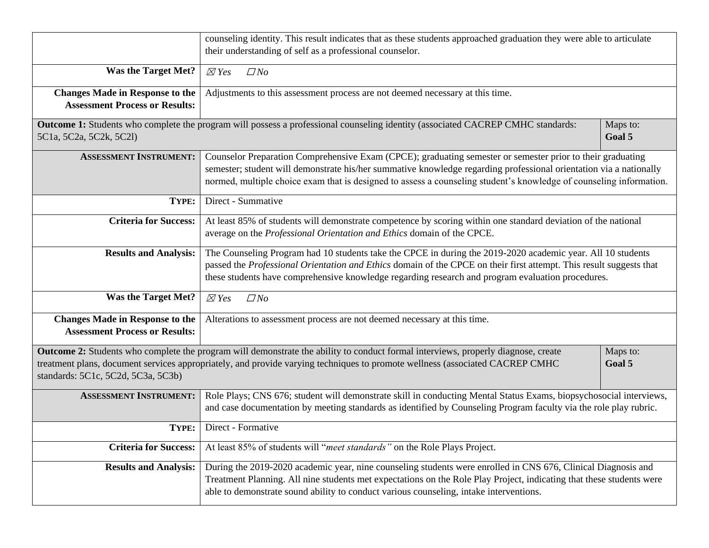|                                                                                 | counseling identity. This result indicates that as these students approached graduation they were able to articulate<br>their understanding of self as a professional counselor.                                                                                                                                                                        |                    |
|---------------------------------------------------------------------------------|---------------------------------------------------------------------------------------------------------------------------------------------------------------------------------------------------------------------------------------------------------------------------------------------------------------------------------------------------------|--------------------|
| <b>Was the Target Met?</b>                                                      | $\boxtimes$ Yes<br>$\Box$ No                                                                                                                                                                                                                                                                                                                            |                    |
| <b>Changes Made in Response to the</b><br><b>Assessment Process or Results:</b> | Adjustments to this assessment process are not deemed necessary at this time.                                                                                                                                                                                                                                                                           |                    |
| 5C1a, 5C2a, 5C2k, 5C2l)                                                         | Outcome 1: Students who complete the program will possess a professional counseling identity (associated CACREP CMHC standards:                                                                                                                                                                                                                         | Maps to:<br>Goal 5 |
| <b>ASSESSMENT INSTRUMENT:</b>                                                   | Counselor Preparation Comprehensive Exam (CPCE); graduating semester or semester prior to their graduating<br>semester; student will demonstrate his/her summative knowledge regarding professional orientation via a nationally<br>normed, multiple choice exam that is designed to assess a counseling student's knowledge of counseling information. |                    |
| TYPE:                                                                           | Direct - Summative                                                                                                                                                                                                                                                                                                                                      |                    |
| <b>Criteria for Success:</b>                                                    | At least 85% of students will demonstrate competence by scoring within one standard deviation of the national<br>average on the Professional Orientation and Ethics domain of the CPCE.                                                                                                                                                                 |                    |
| <b>Results and Analysis:</b>                                                    | The Counseling Program had 10 students take the CPCE in during the 2019-2020 academic year. All 10 students<br>passed the Professional Orientation and Ethics domain of the CPCE on their first attempt. This result suggests that<br>these students have comprehensive knowledge regarding research and program evaluation procedures.                 |                    |
| <b>Was the Target Met?</b>                                                      | $\boxtimes$ Yes<br>$\Box$ No                                                                                                                                                                                                                                                                                                                            |                    |
| <b>Changes Made in Response to the</b><br><b>Assessment Process or Results:</b> | Alterations to assessment process are not deemed necessary at this time.                                                                                                                                                                                                                                                                                |                    |
| standards: 5C1c, 5C2d, 5C3a, 5C3b)                                              | Outcome 2: Students who complete the program will demonstrate the ability to conduct formal interviews, properly diagnose, create<br>treatment plans, document services appropriately, and provide varying techniques to promote wellness (associated CACREP CMHC                                                                                       | Maps to:<br>Goal 5 |
| <b>ASSESSMENT INSTRUMENT:</b>                                                   | Role Plays; CNS 676; student will demonstrate skill in conducting Mental Status Exams, biopsychosocial interviews,<br>and case documentation by meeting standards as identified by Counseling Program faculty via the role play rubric.                                                                                                                 |                    |
| TYPE:                                                                           | Direct - Formative                                                                                                                                                                                                                                                                                                                                      |                    |
| <b>Criteria for Success:</b>                                                    | At least 85% of students will "meet standards" on the Role Plays Project.                                                                                                                                                                                                                                                                               |                    |
| <b>Results and Analysis:</b>                                                    | During the 2019-2020 academic year, nine counseling students were enrolled in CNS 676, Clinical Diagnosis and<br>Treatment Planning. All nine students met expectations on the Role Play Project, indicating that these students were<br>able to demonstrate sound ability to conduct various counseling, intake interventions.                         |                    |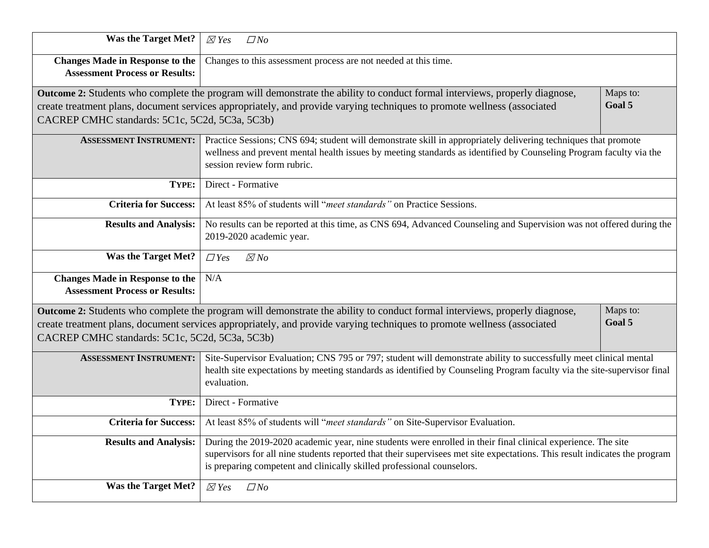| <b>Was the Target Met?</b>                                                      | $\boxtimes$ Yes<br>$\Box$ No                                                                                                                                                                                                                                                                                         |                    |  |  |  |
|---------------------------------------------------------------------------------|----------------------------------------------------------------------------------------------------------------------------------------------------------------------------------------------------------------------------------------------------------------------------------------------------------------------|--------------------|--|--|--|
| <b>Changes Made in Response to the</b><br><b>Assessment Process or Results:</b> | Changes to this assessment process are not needed at this time.                                                                                                                                                                                                                                                      |                    |  |  |  |
| CACREP CMHC standards: 5C1c, 5C2d, 5C3a, 5C3b)                                  | Outcome 2: Students who complete the program will demonstrate the ability to conduct formal interviews, properly diagnose,<br>create treatment plans, document services appropriately, and provide varying techniques to promote wellness (associated                                                                | Maps to:<br>Goal 5 |  |  |  |
| <b>ASSESSMENT INSTRUMENT:</b>                                                   | Practice Sessions; CNS 694; student will demonstrate skill in appropriately delivering techniques that promote<br>wellness and prevent mental health issues by meeting standards as identified by Counseling Program faculty via the<br>session review form rubric.                                                  |                    |  |  |  |
| TYPE:                                                                           | Direct - Formative                                                                                                                                                                                                                                                                                                   |                    |  |  |  |
| <b>Criteria for Success:</b>                                                    | At least 85% of students will "meet standards" on Practice Sessions.                                                                                                                                                                                                                                                 |                    |  |  |  |
| <b>Results and Analysis:</b>                                                    | No results can be reported at this time, as CNS 694, Advanced Counseling and Supervision was not offered during the<br>2019-2020 academic year.                                                                                                                                                                      |                    |  |  |  |
| <b>Was the Target Met?</b>                                                      | $\boxtimes$ No<br>$\Box$ Yes                                                                                                                                                                                                                                                                                         |                    |  |  |  |
| <b>Changes Made in Response to the</b><br><b>Assessment Process or Results:</b> | N/A                                                                                                                                                                                                                                                                                                                  |                    |  |  |  |
| CACREP CMHC standards: 5C1c, 5C2d, 5C3a, 5C3b)                                  | Outcome 2: Students who complete the program will demonstrate the ability to conduct formal interviews, properly diagnose,<br>create treatment plans, document services appropriately, and provide varying techniques to promote wellness (associated                                                                | Maps to:<br>Goal 5 |  |  |  |
| <b>ASSESSMENT INSTRUMENT:</b>                                                   | Site-Supervisor Evaluation; CNS 795 or 797; student will demonstrate ability to successfully meet clinical mental<br>health site expectations by meeting standards as identified by Counseling Program faculty via the site-supervisor final<br>evaluation.                                                          |                    |  |  |  |
| TYPE:                                                                           | Direct - Formative                                                                                                                                                                                                                                                                                                   |                    |  |  |  |
| <b>Criteria for Success:</b>                                                    | At least 85% of students will "meet standards" on Site-Supervisor Evaluation.                                                                                                                                                                                                                                        |                    |  |  |  |
| <b>Results and Analysis:</b>                                                    | During the 2019-2020 academic year, nine students were enrolled in their final clinical experience. The site<br>supervisors for all nine students reported that their supervisees met site expectations. This result indicates the program<br>is preparing competent and clinically skilled professional counselors. |                    |  |  |  |
| <b>Was the Target Met?</b>                                                      | $\boxtimes$ Yes<br>$\Box$ No                                                                                                                                                                                                                                                                                         |                    |  |  |  |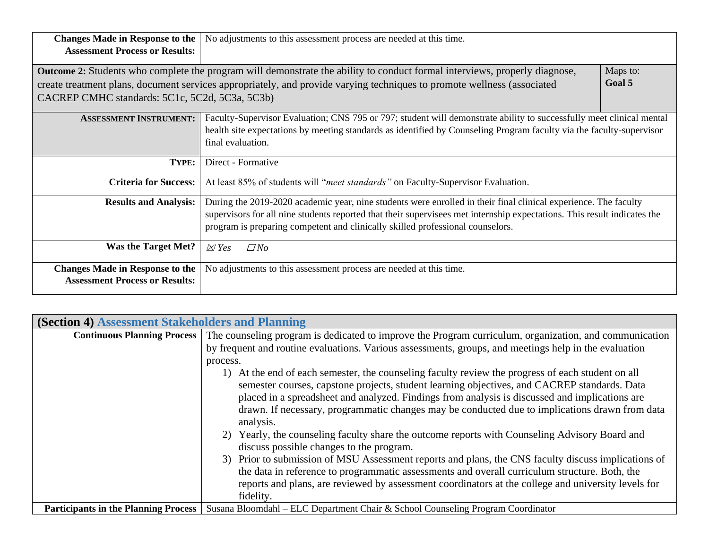| <b>Changes Made in Response to the</b>         | No adjustments to this assessment process are needed at this time.                                                                |          |
|------------------------------------------------|-----------------------------------------------------------------------------------------------------------------------------------|----------|
| <b>Assessment Process or Results:</b>          |                                                                                                                                   |          |
|                                                |                                                                                                                                   |          |
|                                                | <b>Outcome 2:</b> Students who complete the program will demonstrate the ability to conduct formal interviews, properly diagnose, | Maps to: |
|                                                | create treatment plans, document services appropriately, and provide varying techniques to promote wellness (associated           | Goal 5   |
| CACREP CMHC standards: 5C1c, 5C2d, 5C3a, 5C3b) |                                                                                                                                   |          |
|                                                |                                                                                                                                   |          |
| <b>ASSESSMENT INSTRUMENT:</b>                  | Faculty-Supervisor Evaluation; CNS 795 or 797; student will demonstrate ability to successfully meet clinical mental              |          |
|                                                | health site expectations by meeting standards as identified by Counseling Program faculty via the faculty-supervisor              |          |
|                                                | final evaluation.                                                                                                                 |          |
|                                                |                                                                                                                                   |          |
| TYPE:                                          | Direct - Formative                                                                                                                |          |
| <b>Criteria for Success:</b>                   | At least 85% of students will "meet standards" on Faculty-Supervisor Evaluation.                                                  |          |
| <b>Results and Analysis:</b>                   | During the 2019-2020 academic year, nine students were enrolled in their final clinical experience. The faculty                   |          |
|                                                | supervisors for all nine students reported that their supervisees met internship expectations. This result indicates the          |          |
|                                                |                                                                                                                                   |          |
|                                                | program is preparing competent and clinically skilled professional counselors.                                                    |          |
| <b>Was the Target Met?</b>                     | $\boxtimes$ Yes<br>$\Box$ No                                                                                                      |          |
|                                                |                                                                                                                                   |          |
| <b>Changes Made in Response to the</b>         | No adjustments to this assessment process are needed at this time.                                                                |          |
| <b>Assessment Process or Results:</b>          |                                                                                                                                   |          |
|                                                |                                                                                                                                   |          |

| <b>(Section 4) Assessment Stakeholders and Planning</b> |                                                                                                                                           |  |  |  |  |  |
|---------------------------------------------------------|-------------------------------------------------------------------------------------------------------------------------------------------|--|--|--|--|--|
|                                                         | <b>Continuous Planning Process</b> The counseling program is dedicated to improve the Program curriculum, organization, and communication |  |  |  |  |  |
|                                                         | by frequent and routine evaluations. Various assessments, groups, and meetings help in the evaluation                                     |  |  |  |  |  |
|                                                         | process.                                                                                                                                  |  |  |  |  |  |
|                                                         | At the end of each semester, the counseling faculty review the progress of each student on all<br>1)                                      |  |  |  |  |  |
|                                                         | semester courses, capstone projects, student learning objectives, and CACREP standards. Data                                              |  |  |  |  |  |
|                                                         | placed in a spreadsheet and analyzed. Findings from analysis is discussed and implications are                                            |  |  |  |  |  |
|                                                         | drawn. If necessary, programmatic changes may be conducted due to implications drawn from data                                            |  |  |  |  |  |
|                                                         | analysis.                                                                                                                                 |  |  |  |  |  |
|                                                         | Yearly, the counseling faculty share the outcome reports with Counseling Advisory Board and<br>2)                                         |  |  |  |  |  |
|                                                         | discuss possible changes to the program.                                                                                                  |  |  |  |  |  |
|                                                         | 3) Prior to submission of MSU Assessment reports and plans, the CNS faculty discuss implications of                                       |  |  |  |  |  |
|                                                         | the data in reference to programmatic assessments and overall curriculum structure. Both, the                                             |  |  |  |  |  |
|                                                         | reports and plans, are reviewed by assessment coordinators at the college and university levels for                                       |  |  |  |  |  |
|                                                         | fidelity.                                                                                                                                 |  |  |  |  |  |
| <b>Participants in the Planning Process</b>             | Susana Bloomdahl – ELC Department Chair & School Counseling Program Coordinator                                                           |  |  |  |  |  |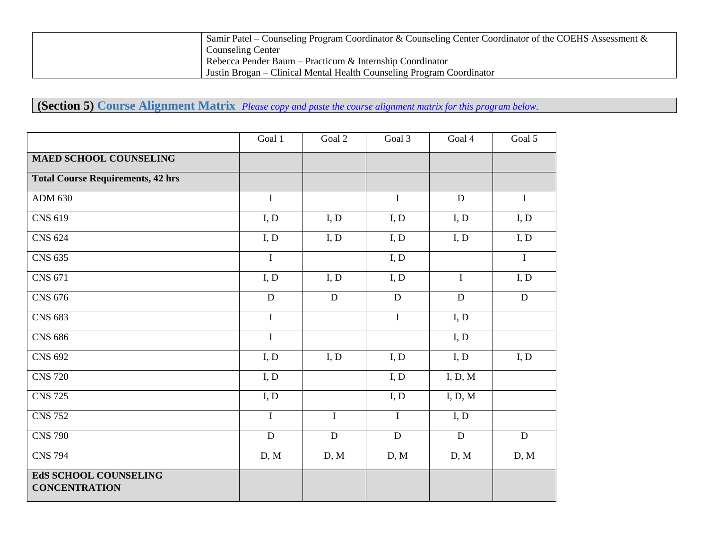| Samir Patel – Counseling Program Coordinator & Counseling Center Coordinator of the COEHS Assessment $\&$ |
|-----------------------------------------------------------------------------------------------------------|
| <b>Counseling Center</b>                                                                                  |
| Rebecca Pender Baum – Practicum & Internship Coordinator                                                  |
| Justin Brogan – Clinical Mental Health Counseling Program Coordinator                                     |

**(Section 5) Course Alignment Matrix** *Please copy and paste the course alignment matrix for this program below.*

|                                               | Goal 1         | Goal 2      | Goal 3      | Goal 4      | Goal 5      |
|-----------------------------------------------|----------------|-------------|-------------|-------------|-------------|
| <b>MAED SCHOOL COUNSELING</b>                 |                |             |             |             |             |
| <b>Total Course Requirements, 42 hrs</b>      |                |             |             |             |             |
| <b>ADM 630</b>                                | $\mathbf I$    |             | $\bf{I}$    | $\mathbf D$ | $\mathbf I$ |
| <b>CNS 619</b>                                | I, D           | I, D        | I, D        | I, D        | I, D        |
| <b>CNS 624</b>                                | I, D           | I, D        | I, D        | I, D        | I, D        |
| <b>CNS 635</b>                                | $\mathbf I$    |             | I, D        |             | $\mathbf I$ |
| CNS 671                                       | I, D           | I, D        | I, D        | $\rm I$     | I, D        |
| <b>CNS 676</b>                                | ${\bf D}$      | $\mathbf D$ | $\mathbf D$ | ${\bf D}$   | ${\bf D}$   |
| <b>CNS 683</b>                                | $\mathbf I$    |             | $\mathbf I$ | I, D        |             |
| <b>CNS 686</b>                                | $\mathbf I$    |             |             | I, D        |             |
| <b>CNS 692</b>                                | I, D           | I, D        | I, D        | I, D        | I, D        |
| <b>CNS 720</b>                                | I, D           |             | I, D        | I, D, M     |             |
| <b>CNS 725</b>                                | I, D           |             | I, D        | I, D, M     |             |
| <b>CNS 752</b>                                | $\overline{I}$ | $\mathbf I$ | $\mathbf I$ | I, D        |             |
| <b>CNS 790</b>                                | ${\bf D}$      | $\mathbf D$ | $\mathbf D$ | ${\bf D}$   | $\mathbf D$ |
| <b>CNS 794</b>                                | D, M           | D, M        | D, M        | D, M        | D, M        |
| EdS SCHOOL COUNSELING<br><b>CONCENTRATION</b> |                |             |             |             |             |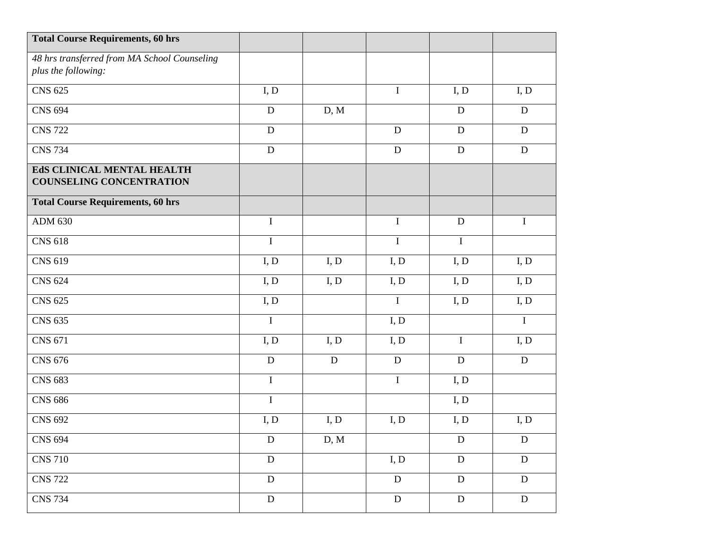| <b>Total Course Requirements, 60 hrs</b>                            |                |      |                |             |                |
|---------------------------------------------------------------------|----------------|------|----------------|-------------|----------------|
| 48 hrs transferred from MA School Counseling<br>plus the following: |                |      |                |             |                |
|                                                                     |                |      |                |             |                |
| <b>CNS 625</b>                                                      | I, D           |      | $\bf I$        | I, D        | I, D           |
| <b>CNS 694</b>                                                      | $\mathbf D$    | D, M |                | ${\bf D}$   | $\mathbf D$    |
| <b>CNS 722</b>                                                      | ${\bf D}$      |      | D              | ${\bf D}$   | ${\bf D}$      |
| <b>CNS 734</b>                                                      | ${\bf D}$      |      | D              | ${\bf D}$   | ${\bf D}$      |
| EdS CLINICAL MENTAL HEALTH                                          |                |      |                |             |                |
| <b>COUNSELING CONCENTRATION</b>                                     |                |      |                |             |                |
| <b>Total Course Requirements, 60 hrs</b>                            |                |      |                |             |                |
| <b>ADM 630</b>                                                      | $\mathbf I$    |      | $\bf{I}$       | ${\bf D}$   | $\bf{I}$       |
| <b>CNS 618</b>                                                      | $\bf I$        |      | $\overline{I}$ | $\bf I$     |                |
| <b>CNS 619</b>                                                      | I, D           | I, D | I, D           | I, D        | I, D           |
| <b>CNS 624</b>                                                      | I, D           | I, D | I, D           | I, D        | I, D           |
| <b>CNS 625</b>                                                      | I, D           |      | $\bf I$        | I, D        | I, D           |
| <b>CNS 635</b>                                                      | $\mathbf I$    |      | I, D           |             | $\mathbf I$    |
| CNS 671                                                             | I, D           | I, D | I, D           | $\mathbf I$ | I, D           |
| <b>CNS 676</b>                                                      | ${\bf D}$      | D    | ${\bf D}$      | ${\bf D}$   | ${\bf D}$      |
| <b>CNS 683</b>                                                      | $\mathbf I$    |      | $\bf I$        | I, D        |                |
| <b>CNS 686</b>                                                      | $\bf I$        |      |                | I, D        |                |
| <b>CNS 692</b>                                                      | I, D           | I, D | I, D           | I, D        | I, D           |
| <b>CNS 694</b>                                                      | ${\bf D}$      | D, M |                | ${\bf D}$   | ${\bf D}$      |
| <b>CNS 710</b>                                                      | $\mathbf D$    |      | I, D           | $\mathbf D$ | $\mathbf D$    |
| <b>CNS</b> 722                                                      | ${\bf D}$      |      | ${\bf D}$      | ${\bf D}$   | ${\bf D}$      |
| <b>CNS 734</b>                                                      | $\overline{D}$ |      | $\overline{D}$ | ${\bf D}$   | $\overline{D}$ |
|                                                                     |                |      |                |             |                |